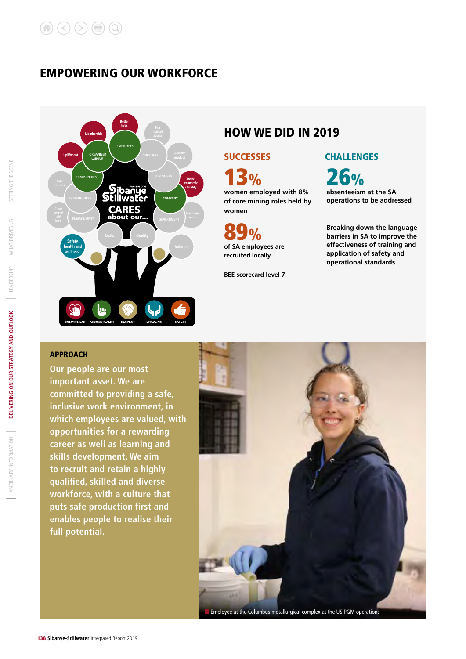### EMPOWERING OUR WORKFORCE



### HOW WE DID IN 2019

**women employed with 8% of core mining roles held by women**  $3\%$  26%

**89%**<br>of SA employees are **recruited locally**

**BEE scorecard level 7**

### SUCCESSES **CHALLENGES**

**absenteeism at the SA operations to be addressed**

**Breaking down the language barriers in SA to improve the effectiveness of training and application of safety and operational standards**

### APPROACH

**Our people are our most important asset. We are committed to providing a safe, inclusive work environment, in which employees are valued, with opportunities for a rewarding career as well as learning and skills development. We aim to recruit and retain a highly qualified, skilled and diverse workforce, with a culture that puts safe production first and enables people to realise their full potential.** 



SETTING THE SCENE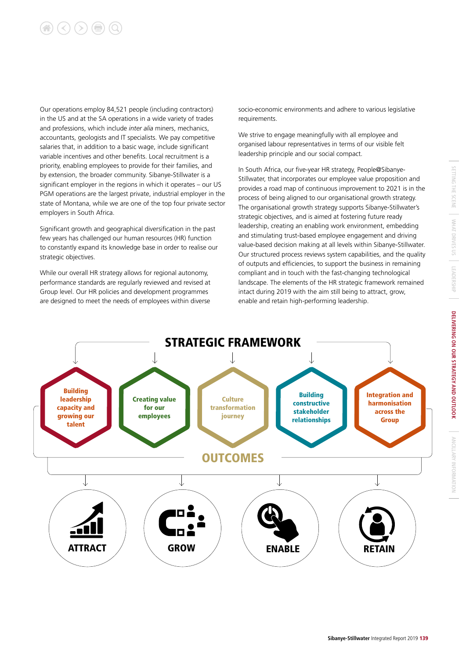# 

Our operations employ 84,521 people (including contractors) in the US and at the SA operations in a wide variety of trades and professions, which include *inter alia* miners, mechanics, accountants, geologists and IT specialists. We pay competitive salaries that, in addition to a basic wage, include significant variable incentives and other benefits. Local recruitment is a priority, enabling employees to provide for their families, and by extension, the broader community. Sibanye-Stillwater is a significant employer in the regions in which it operates – our US PGM operations are the largest private, industrial employer in the state of Montana, while we are one of the top four private sector employers in South Africa.

Significant growth and geographical diversification in the past few years has challenged our human resources (HR) function to constantly expand its knowledge base in order to realise our strategic objectives.

While our overall HR strategy allows for regional autonomy, performance standards are regularly reviewed and revised at Group level. Our HR policies and development programmes are designed to meet the needs of employees within diverse

socio-economic environments and adhere to various legislative requirements.

We strive to engage meaningfully with all employee and organised labour representatives in terms of our visible felt leadership principle and our social compact.

In South Africa, our five-year HR strategy, People@Sibanye-Stillwater, that incorporates our employee value proposition and provides a road map of continuous improvement to 2021 is in the process of being aligned to our organisational growth strategy. The organisational growth strategy supports Sibanye-Stillwater's strategic objectives, and is aimed at fostering future ready leadership, creating an enabling work environment, embedding and stimulating trust-based employee engagement and driving value-based decision making at all levels within Sibanye-Stillwater. Our structured process reviews system capabilities, and the quality of outputs and efficiencies, to support the business in remaining compliant and in touch with the fast-changing technological landscape. The elements of the HR strategic framework remained intact during 2019 with the aim still being to attract, grow, enable and retain high-performing leadership.

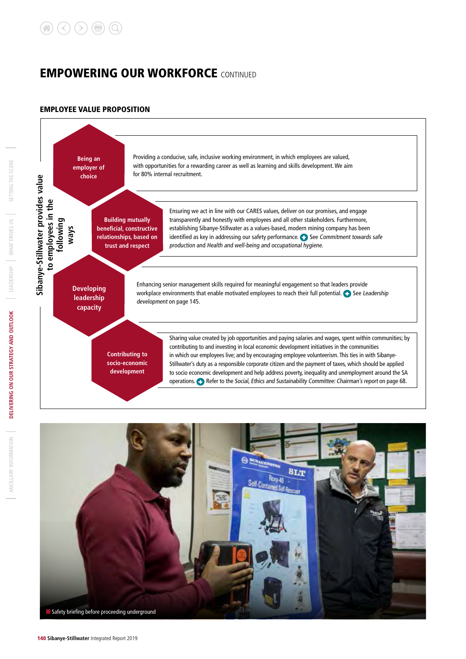#### EMPLOYEE VALUE PROPOSITION





ANCILLARY INFORMATION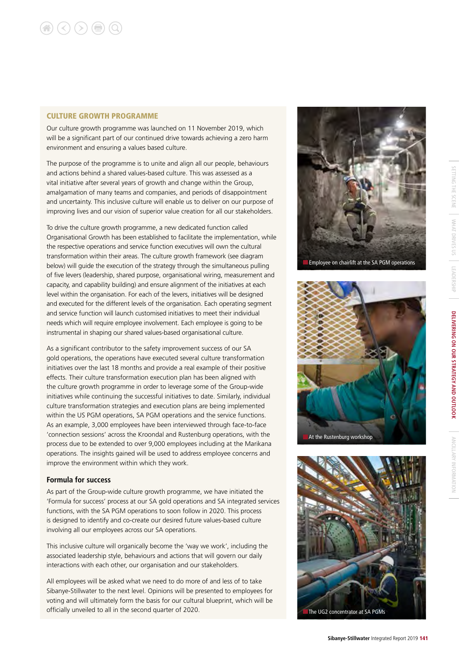#### CULTURE GROWTH PROGRAMME

Our culture growth programme was launched on 11 November 2019, which will be a significant part of our continued drive towards achieving a zero harm environment and ensuring a values based culture.

The purpose of the programme is to unite and align all our people, behaviours and actions behind a shared values-based culture. This was assessed as a vital initiative after several years of growth and change within the Group, amalgamation of many teams and companies, and periods of disappointment and uncertainty. This inclusive culture will enable us to deliver on our purpose of improving lives and our vision of superior value creation for all our stakeholders.

To drive the culture growth programme, a new dedicated function called Organisational Growth has been established to facilitate the implementation, while the respective operations and service function executives will own the cultural transformation within their areas. The culture growth framework (see diagram below) will guide the execution of the strategy through the simultaneous pulling of five levers (leadership, shared purpose, organisational wiring, measurement and capacity, and capability building) and ensure alignment of the initiatives at each level within the organisation. For each of the levers, initiatives will be designed and executed for the different levels of the organisation. Each operating segment and service function will launch customised initiatives to meet their individual needs which will require employee involvement. Each employee is going to be instrumental in shaping our shared values-based organisational culture.

As a significant contributor to the safety improvement success of our SA gold operations, the operations have executed several culture transformation initiatives over the last 18 months and provide a real example of their positive effects. Their culture transformation execution plan has been aligned with the culture growth programme in order to leverage some of the Group-wide initiatives while continuing the successful initiatives to date. Similarly, individual culture transformation strategies and execution plans are being implemented within the US PGM operations, SA PGM operations and the service functions. As an example, 3,000 employees have been interviewed through face-to-face 'connection sessions' across the Kroondal and Rustenburg operations, with the process due to be extended to over 9,000 employees including at the Marikana operations. The insights gained will be used to address employee concerns and improve the environment within which they work.

#### **Formula for success**

As part of the Group-wide culture growth programme, we have initiated the 'Formula for success' process at our SA gold operations and SA integrated services functions, with the SA PGM operations to soon follow in 2020. This process is designed to identify and co-create our desired future values-based culture involving all our employees across our SA operations.

This inclusive culture will organically become the 'way we work', including the associated leadership style, behaviours and actions that will govern our daily interactions with each other, our organisation and our stakeholders.

All employees will be asked what we need to do more of and less of to take Sibanye-Stillwater to the next level. Opinions will be presented to employees for voting and will ultimately form the basis for our cultural blueprint, which will be officially unveiled to all in the second quarter of 2020.





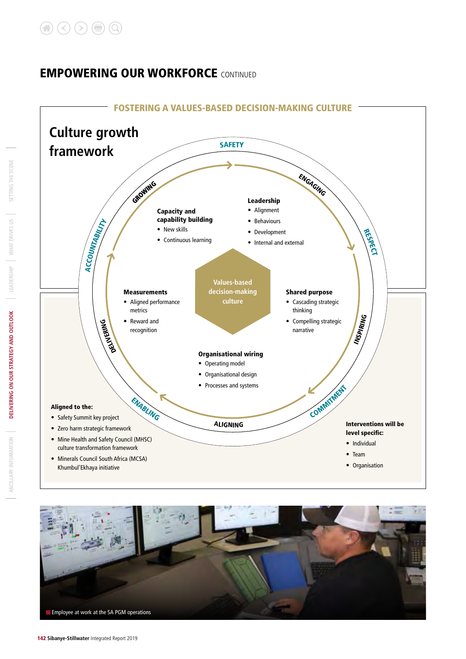



SETTING THE SCENE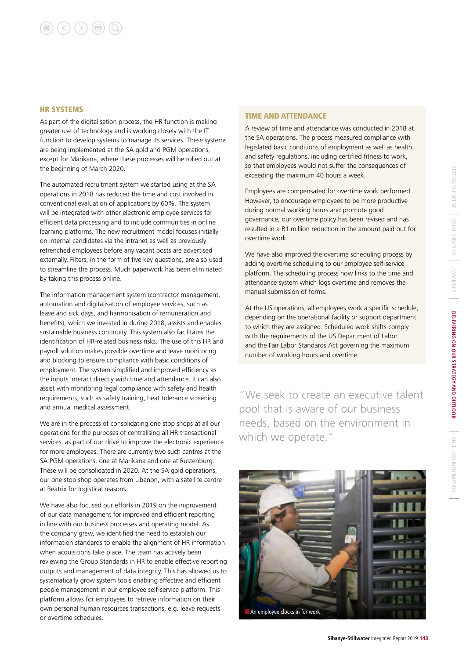#### HR SYSTEMS

As part of the digitalisation process, the HR function is making greater use of technology and is working closely with the IT function to develop systems to manage its services. These systems are being implemented at the SA gold and PGM operations, except for Marikana, where these processes will be rolled out at the beginning of March 2020.

The automated recruitment system we started using at the SA operations in 2018 has reduced the time and cost involved in conventional evaluation of applications by 60%. The system will be integrated with other electronic employee services for efficient data processing and to include communities in online learning platforms. The new recruitment model focuses initially on internal candidates via the intranet as well as previously retrenched employees before any vacant posts are advertised externally. Filters, in the form of five key questions, are also used to streamline the process. Much paperwork has been eliminated by taking this process online.

The information management system (contractor management, automation and digitalisation of employee services, such as leave and sick days, and harmonisation of remuneration and benefits), which we invested in during 2018, assists and enables sustainable business continuity. This system also facilitates the identification of HR-related business risks. The use of this HR and payroll solution makes possible overtime and leave monitoring and blocking to ensure compliance with basic conditions of employment. The system simplified and improved efficiency as the inputs interact directly with time and attendance. It can also assist with monitoring legal compliance with safety and health requirements, such as safety training, heat tolerance screening and annual medical assessment.

We are in the process of consolidating one stop shops at all our operations for the purposes of centralising all HR transactional services, as part of our drive to improve the electronic experience for more employees. There are currently two such centres at the SA PGM operations, one at Marikana and one at Rustenburg. These will be consolidated in 2020. At the SA gold operations, our one stop shop operates from Libanon, with a satellite centre at Beatrix for logistical reasons.

We have also focused our efforts in 2019 on the improvement of our data management for improved and efficient reporting in line with our business processes and operating model. As the company grew, we identified the need to establish our information standards to enable the alignment of HR information when acquisitions take place. The team has actively been reviewing the Group Standards in HR to enable effective reporting outputs and management of data integrity. This has allowed us to systematically grow system tools enabling effective and efficient people management in our employee self-service platform. This platform allows for employees to retrieve information on their own personal human resources transactions, e.g. leave requests or overtime schedules.

#### TIME AND ATTENDANCE

A review of time and attendance was conducted in 2018 at the SA operations. The process measured compliance with legislated basic conditions of employment as well as health and safety regulations, including certified fitness to work, so that employees would not suffer the consequences of exceeding the maximum 40 hours a week.

Employees are compensated for overtime work performed. However, to encourage employees to be more productive during normal working hours and promote good governance, our overtime policy has been revised and has resulted in a R1 million reduction in the amount paid out for overtime work.

We have also improved the overtime scheduling process by adding overtime scheduling to our employee self-service platform. The scheduling process now links to the time and attendance system which logs overtime and removes the manual submission of forms.

At the US operations, all employees work a specific schedule, depending on the operational facility or support department to which they are assigned. Scheduled work shifts comply with the requirements of the US Department of Labor and the Fair Labor Standards Act governing the maximum number of working hours and overtime.

"We seek to create an executive talent pool that is aware of our business needs, based on the environment in which we operate."



ANCILLARY INFORMATION

ANCILLARY INFORMATION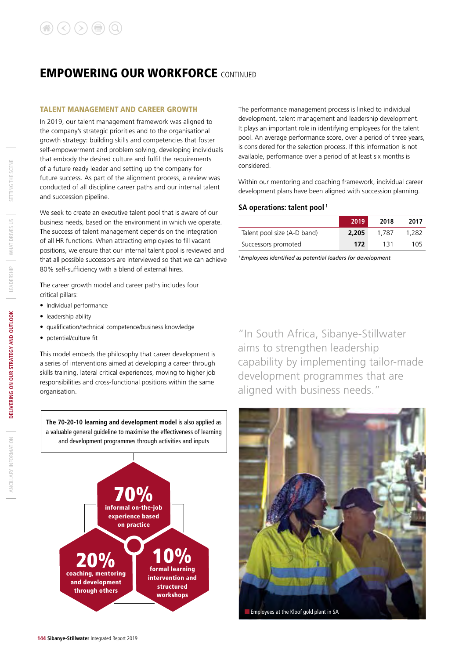#### TALENT MANAGEMENT AND CAREER GROWTH

In 2019, our talent management framework was aligned to the company's strategic priorities and to the organisational growth strategy: building skills and competencies that foster self-empowerment and problem solving, developing individuals that embody the desired culture and fulfil the requirements of a future ready leader and setting up the company for future success. As part of the alignment process, a review was conducted of all discipline career paths and our internal talent and succession pipeline.

We seek to create an executive talent pool that is aware of our business needs, based on the environment in which we operate. The success of talent management depends on the integration of all HR functions. When attracting employees to fill vacant positions, we ensure that our internal talent pool is reviewed and that all possible successors are interviewed so that we can achieve 80% self-sufficiency with a blend of external hires.

The career growth model and career paths includes four critical pillars:

- Individual performance
- leadership ability
- qualification/technical competence/business knowledge
- potential/culture fit

This model embeds the philosophy that career development is a series of interventions aimed at developing a career through skills training, lateral critical experiences, moving to higher job responsibilities and cross-functional positions within the same organisation.

**The 70-20-10 learning and development model** is also applied as a valuable general guideline to maximise the effectiveness of learning and development programmes through activities and inputs



The performance management process is linked to individual development, talent management and leadership development. It plays an important role in identifying employees for the talent pool. An average performance score, over a period of three years, is considered for the selection process. If this information is not available, performance over a period of at least six months is considered.

Within our mentoring and coaching framework, individual career development plans have been aligned with succession planning.

#### **SA operations: talent pool 1**

|                             | 2019  | 2018  | 2017  |
|-----------------------------|-------|-------|-------|
| Talent pool size (A-D band) | 2,205 | 1.787 | 1.282 |
| Successors promoted         | 172   | 131   | 105   |

*1 Employees identified as potential leaders for development* 

"In South Africa, Sibanye-Stillwater aims to strengthen leadership capability by implementing tailor-made development programmes that are aligned with business needs."



SETTING THE SCENE

WHAT DRIVES US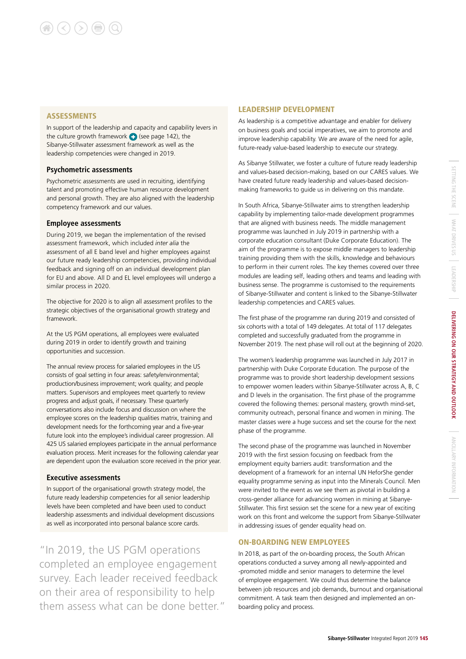#### **ASSESSMENTS**

In support of the leadership and capacity and capability levers in the culture growth framework  $\bigodot$  (see page 142), the Sibanye-Stillwater assessment framework as well as the leadership competencies were changed in 2019.

#### **Psychometric assessments**

Psychometric assessments are used in recruiting, identifying talent and promoting effective human resource development and personal growth. They are also aligned with the leadership competency framework and our values.

#### **Employee assessments**

During 2019, we began the implementation of the revised assessment framework, which included *inter alia* the assessment of all E band level and higher employees against our future ready leadership competencies, providing individual feedback and signing off on an individual development plan for EU and above. All D and EL level employees will undergo a similar process in 2020.

The objective for 2020 is to align all assessment profiles to the strategic objectives of the organisational growth strategy and framework.

At the US PGM operations, all employees were evaluated during 2019 in order to identify growth and training opportunities and succession.

The annual review process for salaried employees in the US consists of goal setting in four areas: safety/environmental; production/business improvement; work quality; and people matters. Supervisors and employees meet quarterly to review progress and adjust goals, if necessary. These quarterly conversations also include focus and discussion on where the employee scores on the leadership qualities matrix, training and development needs for the forthcoming year and a five-year future look into the employee's individual career progression. All 425 US salaried employees participate in the annual performance evaluation process. Merit increases for the following calendar year are dependent upon the evaluation score received in the prior year.

#### **Executive assessments**

In support of the organisational growth strategy model, the future ready leadership competencies for all senior leadership levels have been completed and have been used to conduct leadership assessments and individual development discussions as well as incorporated into personal balance score cards.

"In 2019, the US PGM operations completed an employee engagement survey. Each leader received feedback on their area of responsibility to help them assess what can be done better."

#### LEADERSHIP DEVELOPMENT

As leadership is a competitive advantage and enabler for delivery on business goals and social imperatives, we aim to promote and improve leadership capability. We are aware of the need for agile, future-ready value-based leadership to execute our strategy.

As Sibanye Stillwater, we foster a culture of future ready leadership and values-based decision-making, based on our CARES values. We have created future ready leadership and values-based decisionmaking frameworks to guide us in delivering on this mandate.

In South Africa, Sibanye-Stillwater aims to strengthen leadership capability by implementing tailor-made development programmes that are aligned with business needs. The middle management programme was launched in July 2019 in partnership with a corporate education consultant (Duke Corporate Education). The aim of the programme is to expose middle managers to leadership training providing them with the skills, knowledge and behaviours to perform in their current roles. The key themes covered over three modules are leading self, leading others and teams and leading with business sense. The programme is customised to the requirements of Sibanye-Stillwater and content is linked to the Sibanye-Stillwater leadership competencies and CARES values.

The first phase of the programme ran during 2019 and consisted of six cohorts with a total of 149 delegates. At total of 117 delegates completed and successfully graduated from the programme in November 2019. The next phase will roll out at the beginning of 2020.

The women's leadership programme was launched in July 2017 in partnership with Duke Corporate Education. The purpose of the programme was to provide short leadership development sessions to empower women leaders within Sibanye-Stillwater across A, B, C and D levels in the organisation. The first phase of the programme covered the following themes: personal mastery, growth mind-set, community outreach, personal finance and women in mining. The master classes were a huge success and set the course for the next phase of the programme.

The second phase of the programme was launched in November 2019 with the first session focusing on feedback from the employment equity barriers audit: transformation and the development of a framework for an internal UN HeforShe gender equality programme serving as input into the Minerals Council. Men were invited to the event as we see them as pivotal in building a cross-gender alliance for advancing women in mining at Sibanye-Stillwater. This first session set the scene for a new year of exciting work on this front and welcome the support from Sibanye-Stillwater in addressing issues of gender equality head on.

#### ON-BOARDING NEW EMPLOYEES

In 2018, as part of the on-boarding process, the South African operations conducted a survey among all newly-appointed and -promoted middle and senior managers to determine the level of employee engagement. We could thus determine the balance between job resources and job demands, burnout and organisational commitment. A task team then designed and implemented an onboarding policy and process.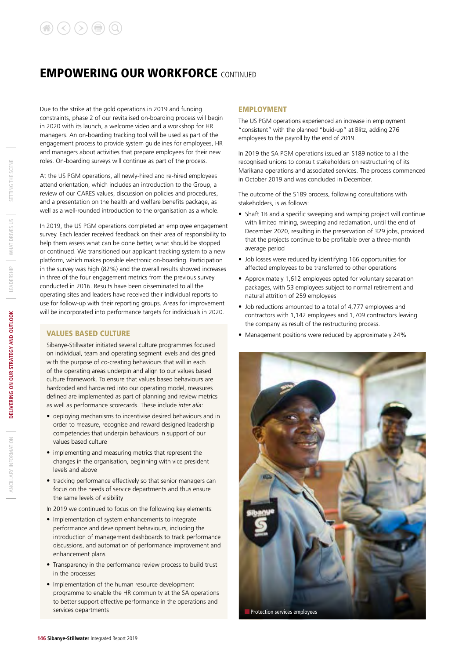Due to the strike at the gold operations in 2019 and funding constraints, phase 2 of our revitalised on-boarding process will begin in 2020 with its launch, a welcome video and a workshop for HR managers. An on-boarding tracking tool will be used as part of the engagement process to provide system guidelines for employees, HR and managers about activities that prepare employees for their new roles. On-boarding surveys will continue as part of the process.

At the US PGM operations, all newly-hired and re-hired employees attend orientation, which includes an introduction to the Group, a review of our CARES values, discussion on policies and procedures, and a presentation on the health and welfare benefits package, as well as a well-rounded introduction to the organisation as a whole.

In 2019, the US PGM operations completed an employee engagement survey. Each leader received feedback on their area of responsibility to help them assess what can be done better, what should be stopped or continued. We transitioned our applicant tracking system to a new platform, which makes possible electronic on-boarding. Participation in the survey was high (82%) and the overall results showed increases in three of the four engagement metrics from the previous survey conducted in 2016. Results have been disseminated to all the operating sites and leaders have received their individual reports to use for follow-up with their reporting groups. Areas for improvement will be incorporated into performance targets for individuals in 2020.

#### VALUES BASED CULTURE

Sibanye-Stillwater initiated several culture programmes focused on individual, team and operating segment levels and designed with the purpose of co-creating behaviours that will in each of the operating areas underpin and align to our values based culture framework. To ensure that values based behaviours are hardcoded and hardwired into our operating model, measures defined are implemented as part of planning and review metrics as well as performance scorecards. These include *inter alia*:

- deploying mechanisms to incentivise desired behaviours and in order to measure, recognise and reward designed leadership competencies that underpin behaviours in support of our values based culture
- implementing and measuring metrics that represent the changes in the organisation, beginning with vice president levels and above
- tracking performance effectively so that senior managers can focus on the needs of service departments and thus ensure the same levels of visibility

In 2019 we continued to focus on the following key elements:

- Implementation of system enhancements to integrate performance and development behaviours, including the introduction of management dashboards to track performance discussions, and automation of performance improvement and enhancement plans
- Transparency in the performance review process to build trust in the processes
- Implementation of the human resource development programme to enable the HR community at the SA operations to better support effective performance in the operations and services departments

#### EMPLOYMENT

The US PGM operations experienced an increase in employment "consistent" with the planned "buid-up" at Blitz, adding 276 employees to the payroll by the end of 2019.

In 2019 the SA PGM operations issued an S189 notice to all the recognised unions to consult stakeholders on restructuring of its Marikana operations and associated services. The process commenced in October 2019 and was concluded in December.

The outcome of the S189 process, following consultations with stakeholders, is as follows:

- Shaft 1B and a specific sweeping and vamping project will continue with limited mining, sweeping and reclamation, until the end of December 2020, resulting in the preservation of 329 jobs, provided that the projects continue to be profitable over a three-month average period
- Job losses were reduced by identifying 166 opportunities for affected employees to be transferred to other operations
- Approximately 1,612 employees opted for voluntary separation packages, with 53 employees subject to normal retirement and natural attrition of 259 employees
- Job reductions amounted to a total of 4,777 employees and contractors with 1,142 employees and 1,709 contractors leaving the company as result of the restructuring process.
- Management positions were reduced by approximately 24%

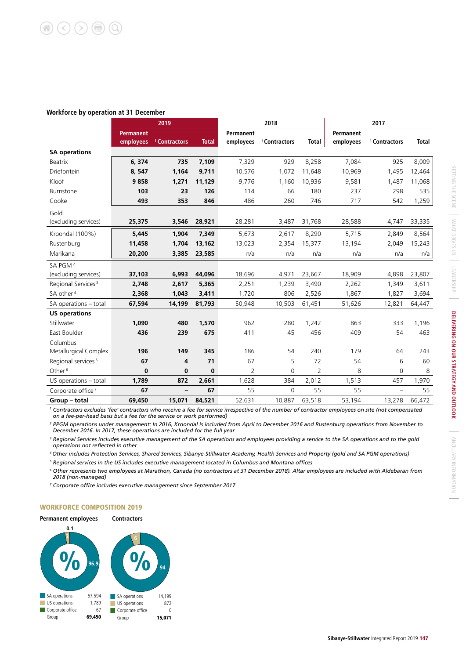#### **Workforce by operation at 31 December**

|                                |                  | 2019                     |              |                  | 2018                     |                |           | 2017                     |              |
|--------------------------------|------------------|--------------------------|--------------|------------------|--------------------------|----------------|-----------|--------------------------|--------------|
|                                | <b>Permanent</b> |                          |              | <b>Permanent</b> |                          |                | Permanent |                          |              |
|                                | employees        | <sup>1</sup> Contractors | <b>Total</b> | employees        | <sup>1</sup> Contractors | <b>Total</b>   | employees | <sup>1</sup> Contractors | <b>Total</b> |
| <b>SA operations</b>           |                  |                          |              |                  |                          |                |           |                          |              |
| Beatrix                        | 6,374            | 735                      | 7,109        | 7,329            | 929                      | 8,258          | 7,084     | 925                      | 8,009        |
| Driefontein                    | 8,547            | 1,164                    | 9,711        | 10,576           | 1,072                    | 11,648         | 10,969    | 1,495                    | 12,464       |
| Kloof                          | 9858             | 1,271                    | 11,129       | 9,776            | 1,160                    | 10,936         | 9,581     | 1,487                    | 11,068       |
| Burnstone                      | 103              | 23                       | 126          | 114              | 66                       | 180            | 237       | 298                      | 535          |
| Cooke                          | 493              | 353                      | 846          | 486              | 260                      | 746            | 717       | 542                      | 1,259        |
| Gold                           |                  |                          |              |                  |                          |                |           |                          |              |
| (excluding services)           | 25,375           | 3,546                    | 28,921       | 28,281           | 3,487                    | 31,768         | 28,588    | 4,747                    | 33,335       |
| Kroondal (100%)                | 5,445            | 1,904                    | 7,349        | 5,673            | 2,617                    | 8,290          | 5,715     | 2,849                    | 8,564        |
| Rustenburg                     | 11,458           | 1,704                    | 13,162       | 13,023           | 2,354                    | 15,377         | 13,194    | 2,049                    | 15,243       |
| Marikana                       | 20,200           | 3,385                    | 23,585       | n/a              | n/a                      | n/a            | n/a       | n/a                      | n/a          |
| SA PGM <sup>2</sup>            |                  |                          |              |                  |                          |                |           |                          |              |
| (excluding services)           | 37,103           | 6,993                    | 44,096       | 18,696           | 4,971                    | 23,667         | 18,909    | 4,898                    | 23,807       |
| Regional Services <sup>3</sup> | 2,748            | 2,617                    | 5,365        | 2,251            | 1,239                    | 3,490          | 2,262     | 1,349                    | 3,611        |
| SA other <sup>4</sup>          | 2,368            | 1,043                    | 3,411        | 1,720            | 806                      | 2,526          | 1,867     | 1,827                    | 3,694        |
| SA operations - total          | 67,594           | 14,199                   | 81,793       | 50,948           | 10,503                   | 61,451         | 51,626    | 12,821                   | 64,447       |
| <b>US operations</b>           |                  |                          |              |                  |                          |                |           |                          |              |
| Stillwater                     | 1.090            | 480                      | 1,570        | 962              | 280                      | 1,242          | 863       | 333                      | 1,196        |
| East Boulder                   | 436              | 239                      | 675          | 411              | 45                       | 456            | 409       | 54                       | 463          |
| Columbus                       |                  |                          |              |                  |                          |                |           |                          |              |
| Metallurgical Complex          | 196              | 149                      | 345          | 186              | 54                       | 240            | 179       | 64                       | 243          |
| Regional services <sup>5</sup> | 67               | 4                        | 71           | 67               | 5                        | 72             | 54        | 6                        | 60           |
| Other <sup>6</sup>             | $\bf{0}$         | $\bf{0}$                 | 0            | $\overline{2}$   | $\mathbf{0}$             | $\overline{2}$ | 8         | 0                        | 8            |
| US operations - total          | 1,789            | 872                      | 2,661        | 1,628            | 384                      | 2,012          | 1,513     | 457                      | 1,970        |
| Corporate office <sup>7</sup>  | 67               |                          | 67           | 55               | $\mathbf 0$              | 55             | 55        | $\overline{\phantom{0}}$ | 55           |
| Group - total                  | 69,450           | 15,071                   | 84,521       | 52,631           | 10,887                   | 63,518         | 53,194    | 13,278                   | 66,472       |

<sup>1</sup> Contractors excludes 'fee' contractors who receive a fee for service irrespective of the number of contractor employees on site (not compensated *on a fee-per-head basis but a fee for the service or work performed)*

*<sup>2</sup> PPGM operations under management: In 2016, Kroondal is included from April to December 2016 and Rustenburg operations from November to December 2016. In 2017, these operations are included for the full year*

*<sup>3</sup> Regional Services includes executive management of the SA operations and employees providing a service to the SA operations and to the gold operations not reflected in other*

*4 Other includes Protection Services, Shared Services, Sibanye-Stillwater Academy, Health Services and Property (gold and SA PGM operations) 5 Regional services in the US includes executive management located in Columbus and Montana offices*

*<sup>6</sup> Other represents two employees at Marathon, Canada (no contractors at 31 December 2018). Altar employees are included with Aldebaran from 2018 (non-managed)*

*7 Corporate office includes executive management since September 2017*

#### WORKFORCE COMPOSITION 2019

#### **Permanent employees Contractors**



SETTING THE SCENE

SEITING THE SCENE

WHAT DRIVES US

**LEADERSHIP** 

WHAT DRIVES US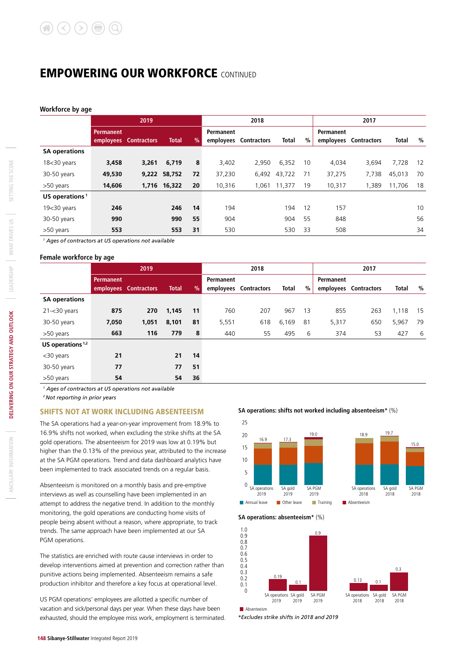**Workforce by age**

|                            |           | 2019               |              |      | 2018      |                       |              |    | 2017      |                    |        |    |  |
|----------------------------|-----------|--------------------|--------------|------|-----------|-----------------------|--------------|----|-----------|--------------------|--------|----|--|
|                            | Permanent |                    |              |      | Permanent |                       |              |    | Permanent |                    |        |    |  |
|                            | employees | <b>Contractors</b> | <b>Total</b> | $\%$ |           | employees Contractors | <b>Total</b> | %  | employees | <b>Contractors</b> | Total  | %  |  |
| <b>SA operations</b>       |           |                    |              |      |           |                       |              |    |           |                    |        |    |  |
| $1830$ years               | 3,458     | 3,261              | 6,719        | 8    | 3,402     | 2,950                 | 6.352        | 10 | 4,034     | 3,694              | 7,728  | 12 |  |
| 30-50 years                | 49,530    | 9,222              | 58,752       | 72   | 37,230    | 6,492                 | 43,722       | 71 | 37,275    | 7,738              | 45,013 | 70 |  |
| >50 years                  | 14,606    |                    | 1,716 16,322 | 20   | 10,316    |                       | 1,061 11,377 | 19 | 10,317    | 1,389              | 11,706 | 18 |  |
| US operations <sup>1</sup> |           |                    |              |      |           |                       |              |    |           |                    |        |    |  |
| $1930$ years               | 246       |                    | 246          | 14   | 194       |                       | 194          | 12 | 157       |                    |        | 10 |  |
| 30-50 years                | 990       |                    | 990          | 55   | 904       |                       | 904          | 55 | 848       |                    |        | 56 |  |
| >50 years                  | 553       |                    | 553          | 31   | 530       |                       | 530          | 33 | 508       |                    |        | 34 |  |

*1 Ages of contractors at US operations not available*

#### **Female workforce by age**

|                      |           | 2019                  |              |               | 2018      |                       |       |    | 2017      |                       |              |    |
|----------------------|-----------|-----------------------|--------------|---------------|-----------|-----------------------|-------|----|-----------|-----------------------|--------------|----|
|                      | Permanent |                       |              |               | Permanent |                       |       |    | Permanent |                       |              |    |
|                      |           | employees Contractors | <b>Total</b> | $\frac{9}{6}$ |           | employees Contractors | Total | %  |           | employees Contractors | <b>Total</b> | %  |
| <b>SA operations</b> |           |                       |              |               |           |                       |       |    |           |                       |              |    |
| $21 - 30$ years      | 875       | 270                   | 1,145        | 11            | 760       | 207                   | 967   | 13 | 855       | 263                   | 1,118        | 15 |
| 30-50 years          | 7,050     | 1,051                 | 8,101        | 81            | 5,551     | 618                   | 6,169 | 81 | 5,317     | 650                   | 5,967        | 79 |
| >50 years            | 663       | 116                   | 779          | 8             | 440       | 55                    | 495   | 6  | 374       | 53                    | 427          | 6  |
| US operations $1,2$  |           |                       |              |               |           |                       |       |    |           |                       |              |    |
| <30 years            | 21        |                       | 21           | 14            |           |                       |       |    |           |                       |              |    |
| 30-50 years          | 77        |                       | 77           | 51            |           |                       |       |    |           |                       |              |    |

*1 Ages of contractors at US operations not available*

*2 Not reporting in prior years*

#### SHIFTS NOT AT WORK INCLUDING ABSENTEEISM

>50 years **54 54 36**

The SA operations had a year-on-year improvement from 18.9% to 16.9% shifts not worked, when excluding the strike shifts at the SA gold operations. The absenteeism for 2019 was low at 0.19% but higher than the 0.13% of the previous year, attributed to the increase at the SA PGM operations. Trend and data dashboard analytics have been implemented to track associated trends on a regular basis.

Absenteeism is monitored on a monthly basis and pre-emptive interviews as well as counselling have been implemented in an attempt to address the negative trend. In addition to the monthly monitoring, the gold operations are conducting home visits of people being absent without a reason, where appropriate, to track trends. The same approach have been implemented at our SA PGM operations.

The statistics are enriched with route cause interviews in order to develop interventions aimed at prevention and correction rather than punitive actions being implemented. Absenteeism remains a safe production inhibitor and therefore a key focus at operational level.

US PGM operations' employees are allotted a specific number of vacation and sick/personal days per year. When these days have been exhausted, should the employee miss work, employment is terminated. *\*Excludes strike shifts in 2018 and 2019*

**SA operations: shifts not worked including absenteeism\*** (%)



#### **SA operations: absenteeism\*** (%)

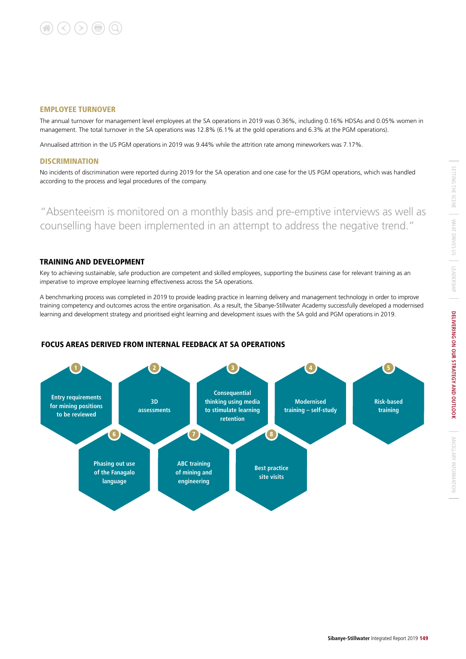#### EMPLOYEE TURNOVER

The annual turnover for management level employees at the SA operations in 2019 was 0.36%, including 0.16% HDSAs and 0.05% women in management. The total turnover in the SA operations was 12.8% (6.1% at the gold operations and 6.3% at the PGM operations).

Annualised attrition in the US PGM operations in 2019 was 9.44% while the attrition rate among mineworkers was 7.17%.

#### **DISCRIMINATION**

No incidents of discrimination were reported during 2019 for the SA operation and one case for the US PGM operations, which was handled according to the process and legal procedures of the company.

"Absenteeism is monitored on a monthly basis and pre-emptive interviews as well as counselling have been implemented in an attempt to address the negative trend."

#### TRAINING AND DEVELOPMENT

Key to achieving sustainable, safe production are competent and skilled employees, supporting the business case for relevant training as an imperative to improve employee learning effectiveness across the SA operations.

A benchmarking process was completed in 2019 to provide leading practice in learning delivery and management technology in order to improve training competency and outcomes across the entire organisation. As a result, the Sibanye-Stillwater Academy successfully developed a modernised learning and development strategy and prioritised eight learning and development issues with the SA gold and PGM operations in 2019.

#### **Entry requirements for mining positions to be reviewed 3D assessments Consequential thinking using media to stimulate learning retention ABC training of mining and engineering Phasing out use of the Fanagalo language Best practice site visits Modernised training – self-study Risk-based training** 1 2 6 7 8 3 4 5

#### FOCUS AREAS DERIVED FROM INTERNAL FEEDBACK AT SA OPERATIONS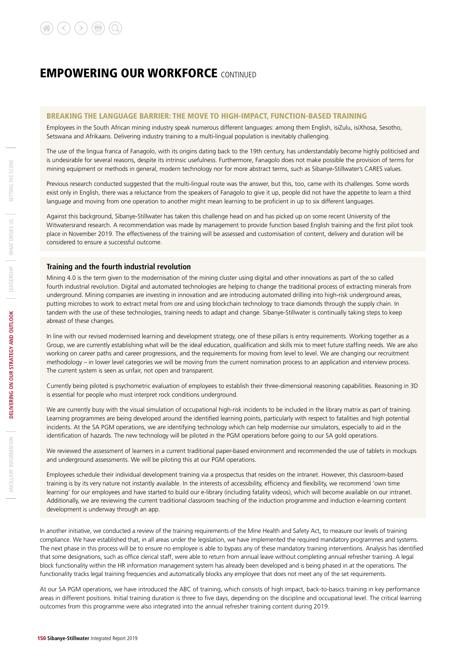#### BREAKING THE LANGUAGE BARRIER: THE MOVE TO HIGH-IMPACT, FUNCTION-BASED TRAINING

Employees in the South African mining industry speak numerous different languages: among them English, isiZulu, isiXhosa, Sesotho, Setswana and Afrikaans. Delivering industry training to a multi-lingual population is inevitably challenging.

The use of the lingua franca of Fanagolo, with its origins dating back to the 19th century, has understandably become highly politicised and is undesirable for several reasons, despite its intrinsic usefulness. Furthermore, Fanagolo does not make possible the provision of terms for mining equipment or methods in general, modern technology nor for more abstract terms, such as Sibanye-Stillwater's CARES values.

Previous research conducted suggested that the multi-lingual route was the answer, but this, too, came with its challenges. Some words exist only in English, there was a reluctance from the speakers of Fanagolo to give it up, people did not have the appetite to learn a third language and moving from one operation to another might mean learning to be proficient in up to six different languages.

Against this background, Sibanye-Stillwater has taken this challenge head on and has picked up on some recent University of the Witwatersrand research. A recommendation was made by management to provide function based English training and the first pilot took place in November 2019. The effectiveness of the training will be assessed and customisation of content, delivery and duration will be considered to ensure a successful outcome.

#### **Training and the fourth industrial revolution**

Mining 4.0 is the term given to the modernisation of the mining cluster using digital and other innovations as part of the so called fourth industrial revolution. Digital and automated technologies are helping to change the traditional process of extracting minerals from underground. Mining companies are investing in innovation and are introducing automated drilling into high-risk underground areas, putting microbes to work to extract metal from ore and using blockchain technology to trace diamonds through the supply chain. In tandem with the use of these technologies, training needs to adapt and change. Sibanye-Stillwater is continually taking steps to keep abreast of these changes.

In line with our revised modernised learning and development strategy, one of these pillars is entry requirements. Working together as a Group, we are currently establishing what will be the ideal education, qualification and skills mix to meet future staffing needs. We are also working on career paths and career progressions, and the requirements for moving from level to level. We are changing our recruitment methodology – in lower level categories we will be moving from the current nomination process to an application and interview process. The current system is seen as unfair, not open and transparent.

Currently being piloted is psychometric evaluation of employees to establish their three-dimensional reasoning capabilities. Reasoning in 3D is essential for people who must interpret rock conditions underground.

We are currently busy with the visual simulation of occupational high-risk incidents to be included in the library matrix as part of training. Learning programmes are being developed around the identified learning points, particularly with respect to fatalities and high potential incidents. At the SA PGM operations, we are identifying technology which can help modernise our simulators, especially to aid in the identification of hazards. The new technology will be piloted in the PGM operations before going to our SA gold operations.

We reviewed the assessment of learners in a current traditional paper-based environment and recommended the use of tablets in mockups and underground assessments. We will be piloting this at our PGM operations.

Employees schedule their individual development training via a prospectus that resides on the intranet. However, this classroom-based training is by its very nature not instantly available. In the interests of accessibility, efficiency and flexibility, we recommend 'own time learning' for our employees and have started to build our e-library (including fatality videos), which will become available on our intranet. Additionally, we are reviewing the current traditional classroom teaching of the induction programme and induction e-learning content development is underway through an app.

In another initiative, we conducted a review of the training requirements of the Mine Health and Safety Act, to measure our levels of training compliance. We have established that, in all areas under the legislation, we have implemented the required mandatory programmes and systems. The next phase in this process will be to ensure no employee is able to bypass any of these mandatory training interventions. Analysis has identified that some designations, such as office clerical staff, were able to return from annual leave without completing annual refresher training. A legal block functionality within the HR information management system has already been developed and is being phased in at the operations. The functionality tracks legal training frequencies and automatically blocks any employee that does not meet any of the set requirements.

At our SA PGM operations, we have introduced the ABC of training, which consists of high impact, back-to-basics training in key performance areas in different positions. Initial training duration is three to five days, depending on the discipline and occupational level. The critical learning outcomes from this programme were also integrated into the annual refresher training content during 2019.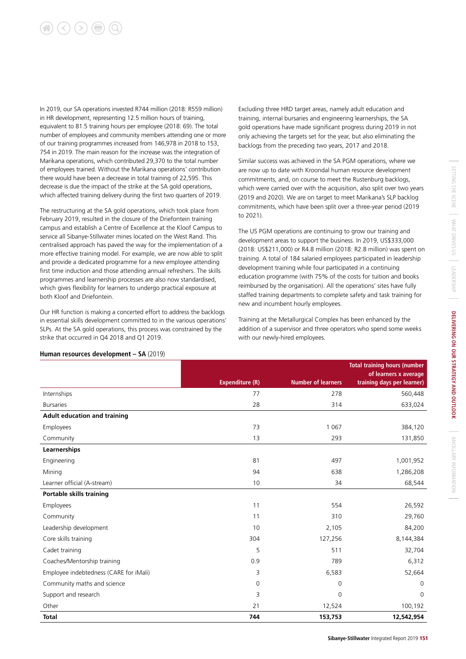# $(\langle \rangle) (\rangle)$  (a)  $(\alpha)$

In 2019, our SA operations invested R744 million (2018: R559 million) in HR development, representing 12.5 million hours of training, equivalent to 81.5 training hours per employee (2018: 69). The total number of employees and community members attending one or more of our training programmes increased from 146,978 in 2018 to 153, 754 in 2019. The main reason for the increase was the integration of Marikana operations, which contributed 29,370 to the total number of employees trained. Without the Marikana operations' contribution there would have been a decrease in total training of 22,595. This decrease is due the impact of the strike at the SA gold operations, which affected training delivery during the first two quarters of 2019.

The restructuring at the SA gold operations, which took place from February 2019, resulted in the closure of the Driefontein training campus and establish a Centre of Excellence at the Kloof Campus to service all Sibanye-Stillwater mines located on the West Rand. This centralised approach has paved the way for the implementation of a more effective training model. For example, we are now able to split and provide a dedicated programme for a new employee attending first time induction and those attending annual refreshers. The skills programmes and learnership processes are also now standardised, which gives flexibility for learners to undergo practical exposure at both Kloof and Driefontein.

Our HR function is making a concerted effort to address the backlogs in essential skills development committed to in the various operations' SLPs. At the SA gold operations, this process was constrained by the strike that occurred in Q4 2018 and Q1 2019.

Excluding three HRD target areas, namely adult education and training, internal bursaries and engineering learnerships, the SA gold operations have made significant progress during 2019 in not only achieving the targets set for the year, but also eliminating the backlogs from the preceding two years, 2017 and 2018.

Similar success was achieved in the SA PGM operations, where we are now up to date with Kroondal human resource development commitments, and, on course to meet the Rustenburg backlogs, which were carried over with the acquisition, also split over two years (2019 and 2020). We are on target to meet Marikana's SLP backlog commitments, which have been split over a three-year period (2019 to 2021).

The US PGM operations are continuing to grow our training and development areas to support the business. In 2019, US\$333,000 (2018: US\$211,000) or R4.8 million (2018: R2.8 million) was spent on training. A total of 184 salaried employees participated in leadership development training while four participated in a continuing education programme (with 75% of the costs for tuition and books reimbursed by the organisation). All the operations' sites have fully staffed training departments to complete safety and task training for new and incumbent hourly employees.

Training at the Metallurgical Complex has been enhanced by the addition of a supervisor and three operators who spend some weeks with our newly-hired employees.

|                                        |                        |                           | <b>Total training hours (number</b><br>of learners x average |
|----------------------------------------|------------------------|---------------------------|--------------------------------------------------------------|
|                                        | <b>Expenditure (R)</b> | <b>Number of learners</b> | training days per learner)                                   |
| Internships                            | 77                     | 278                       | 560,448                                                      |
| <b>Bursaries</b>                       | 28                     | 314                       | 633,024                                                      |
| <b>Adult education and training</b>    |                        |                           |                                                              |
| Employees                              | 73                     | 1 0 6 7                   | 384,120                                                      |
| Community                              | 13                     | 293                       | 131,850                                                      |
| Learnerships                           |                        |                           |                                                              |
| Engineering                            | 81                     | 497                       | 1,001,952                                                    |
| Mining                                 | 94                     | 638                       | 1,286,208                                                    |
| Learner official (A-stream)            | 10                     | 34                        | 68,544                                                       |
| <b>Portable skills training</b>        |                        |                           |                                                              |
| Employees                              | 11                     | 554                       | 26,592                                                       |
| Community                              | 11                     | 310                       | 29,760                                                       |
| Leadership development                 | 10                     | 2,105                     | 84,200                                                       |
| Core skills training                   | 304                    | 127,256                   | 8,144,384                                                    |
| Cadet training                         | 5                      | 511                       | 32,704                                                       |
| Coaches/Mentorship training            | 0.9                    | 789                       | 6,312                                                        |
| Employee indebtedness (CARE for iMali) | 3                      | 6,583                     | 52,664                                                       |
| Community maths and science            | 0                      | $\mathbf 0$               | 0                                                            |
| Support and research                   | 3                      | $\overline{0}$            | $\Omega$                                                     |
| Other                                  | 21                     | 12,524                    | 100,192                                                      |
| <b>Total</b>                           | 744                    | 153,753                   | 12,542,954                                                   |

#### **Human resources development – SA** (2019)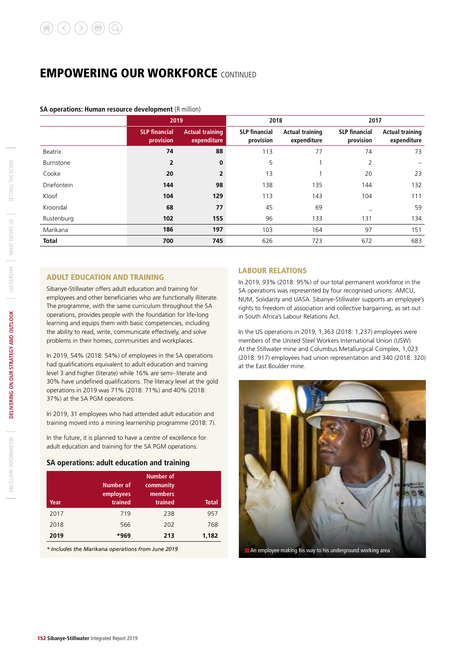#### **SA operations: Human resource development** (R million)

|                    | 2019                              |                                       | 2018                              |                                       | 2017                              |                                       |  |
|--------------------|-----------------------------------|---------------------------------------|-----------------------------------|---------------------------------------|-----------------------------------|---------------------------------------|--|
|                    | <b>SLP</b> financial<br>provision | <b>Actual training</b><br>expenditure | <b>SLP</b> financial<br>provision | <b>Actual training</b><br>expenditure | <b>SLP</b> financial<br>provision | <b>Actual training</b><br>expenditure |  |
| Beatrix            | 74                                | 88                                    | 113                               | 77                                    | 74                                | 73                                    |  |
| Burnstone          | $\overline{2}$                    | $\bf{0}$                              | 5                                 |                                       | 2                                 |                                       |  |
| Cooke              | 20                                | $\overline{2}$                        | 13                                |                                       | 20                                | 23                                    |  |
| <b>Driefontein</b> | 144                               | 98                                    | 138                               | 135                                   | 144                               | 132                                   |  |
| Kloof              | 104                               | 129                                   | 113                               | 143                                   | 104                               | 111                                   |  |
| Kroondal           | 68                                | 77                                    | 45                                | 69                                    |                                   | 59                                    |  |
| Rustenburg         | 102                               | 155                                   | 96                                | 133                                   | 131                               | 134                                   |  |
| Marikana           | 186                               | 197                                   | 103                               | 164                                   | 97                                | 151                                   |  |
| <b>Total</b>       | 700                               | 745                                   | 626                               | 723                                   | 672                               | 683                                   |  |

#### ADULT EDUCATION AND TRAINING

Sibanye-Stillwater offers adult education and training for employees and other beneficiaries who are functionally illiterate. The programme, with the same curriculum throughout the SA operations, provides people with the foundation for life-long learning and equips them with basic competencies, including the ability to read, write, communicate effectively, and solve problems in their homes, communities and workplaces.

In 2019, 54% (2018: 54%) of employees in the SA operations had qualifications equivalent to adult education and training level 3 and higher (literate) while 16% are semi- literate and 30% have undefined qualifications. The literacy level at the gold operations in 2019 was 71% (2018: 71%) and 40% (2018: 37%) at the SA PGM operations.

In 2019, 31 employees who had attended adult education and training moved into a mining learnership programme (2018: 7).

In the future, it is planned to have a centre of excellence for adult education and training for the SA PGM operations.

#### **SA operations: adult education and training**

| Year | Number of<br>employees<br>trained | Number of<br>community<br>members<br>trained | <b>Total</b> |
|------|-----------------------------------|----------------------------------------------|--------------|
| 2017 | 719                               | 238                                          | 957          |
| 2018 | 566                               | 202                                          | 768          |
| 2019 | *969                              | 213                                          | 1,182        |

*\* Includes the Marikana operations from June 2019*

#### LABOUR RELATIONS

In 2019, 93% (2018: 95%) of our total permanent workforce in the SA operations was represented by four recognised unions: AMCU, NUM, Solidarity and UASA. Sibanye-Stillwater supports an employee's rights to freedom of association and collective bargaining, as set out in South Africa's Labour Relations Act.

In the US operations in 2019, 1,363 (2018: 1,237) employees were members of the United Steel Workers International Union (USW). At the Stillwater mine and Columbus Metallurgical Complex, 1,023 (2018: 917) employees had union representation and 340 (2018: 320) at the East Boulder mine.

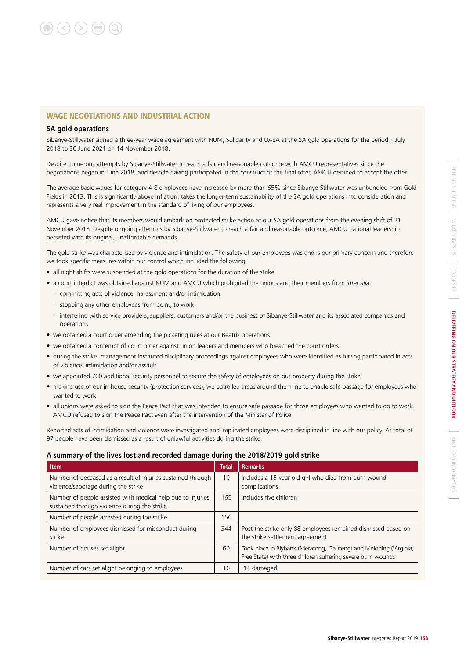#### WAGE NEGOTIATIONS AND INDUSTRIAL ACTION

#### **SA gold operations**

Sibanye-Stillwater signed a three-year wage agreement with NUM, Solidarity and UASA at the SA gold operations for the period 1 July 2018 to 30 June 2021 on 14 November 2018.

Despite numerous attempts by Sibanye-Stillwater to reach a fair and reasonable outcome with AMCU representatives since the negotiations began in June 2018, and despite having participated in the construct of the final offer, AMCU declined to accept the offer.

The average basic wages for category 4-8 employees have increased by more than 65% since Sibanye-Stillwater was unbundled from Gold Fields in 2013. This is significantly above inflation, takes the longer-term sustainability of the SA gold operations into consideration and represents a very real improvement in the standard of living of our employees.

AMCU gave notice that its members would embark on protected strike action at our SA gold operations from the evening shift of 21 November 2018. Despite ongoing attempts by Sibanye-Stillwater to reach a fair and reasonable outcome, AMCU national leadership persisted with its original, unaffordable demands.

The gold strike was characterised by violence and intimidation. The safety of our employees was and is our primary concern and therefore we took specific measures within our control which included the following:

- all night shifts were suspended at the gold operations for the duration of the strike
- a court interdict was obtained against NUM and AMCU which prohibited the unions and their members from *inter alia*:
	- committing acts of violence, harassment and/or intimidation
	- stopping any other employees from going to work
	- interfering with service providers, suppliers, customers and/or the business of Sibanye-Stillwater and its associated companies and operations
- we obtained a court order amending the picketing rules at our Beatrix operations
- we obtained a contempt of court order against union leaders and members who breached the court orders
- during the strike, management instituted disciplinary proceedings against employees who were identified as having participated in acts of violence, intimidation and/or assault
- we appointed 700 additional security personnel to secure the safety of employees on our property during the strike
- making use of our in-house security (protection services), we patrolled areas around the mine to enable safe passage for employees who wanted to work
- all unions were asked to sign the Peace Pact that was intended to ensure safe passage for those employees who wanted to go to work. AMCU refused to sign the Peace Pact even after the intervention of the Minister of Police

Reported acts of intimidation and violence were investigated and implicated employees were disciplined in line with our policy. At total of 97 people have been dismissed as a result of unlawful activities during the strike.

#### **A summary of the lives lost and recorded damage during the 2018/2019 gold strike**

| <b>Item</b>                                                                                                 | <b>Total</b> | <b>Remarks</b>                                                                                                                    |
|-------------------------------------------------------------------------------------------------------------|--------------|-----------------------------------------------------------------------------------------------------------------------------------|
| Number of deceased as a result of injuries sustained through<br>violence/sabotage during the strike         | 10           | Includes a 15-year old girl who died from burn wound<br>complications                                                             |
| Number of people assisted with medical help due to injuries<br>sustained through violence during the strike | 165          | Includes five children                                                                                                            |
| Number of people arrested during the strike                                                                 | 156          |                                                                                                                                   |
| Number of employees dismissed for misconduct during<br>strike                                               | 344          | Post the strike only 88 employees remained dismissed based on<br>the strike settlement agreement                                  |
| Number of houses set alight                                                                                 | 60           | Took place in Blybank (Merafong, Gauteng) and Meloding (Virginia,<br>Free State) with three children suffering severe burn wounds |
| Number of cars set alight belonging to employees                                                            | 16           | 14 damaged                                                                                                                        |

ANCILLARY INFORMATION

ANCILARY INFORMATION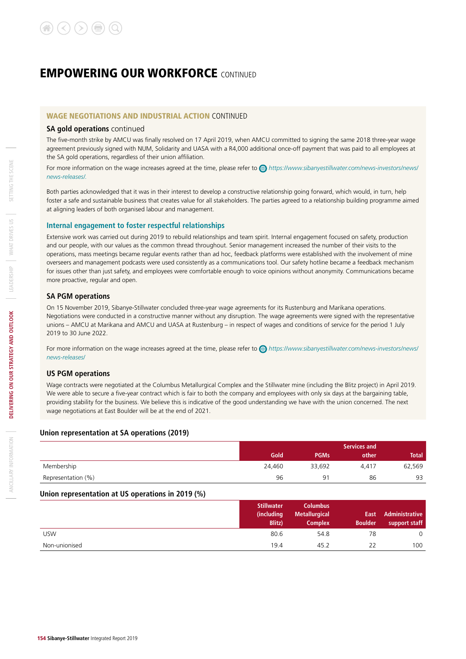#### WAGE NEGOTIATIONS AND INDUSTRIAL ACTION CONTINUED

#### **SA gold operations** continued

The five-month strike by AMCU was finally resolved on 17 April 2019, when AMCU committed to signing the same 2018 three-year wage agreement previously signed with NUM, Solidarity and UASA with a R4,000 additional once-off payment that was paid to all employees at the SA gold operations, regardless of their union affiliation.

For more information on the wage increases agreed at the time, please refer to *https://www.sibanyestillwater.com/news-investors/news/ news-releases/.*

Both parties acknowledged that it was in their interest to develop a constructive relationship going forward, which would, in turn, help foster a safe and sustainable business that creates value for all stakeholders. The parties agreed to a relationship building programme aimed at aligning leaders of both organised labour and management.

#### **Internal engagement to foster respectful relationships**

Extensive work was carried out during 2019 to rebuild relationships and team spirit. Internal engagement focused on safety, production and our people, with our values as the common thread throughout. Senior management increased the number of their visits to the operations, mass meetings became regular events rather than ad hoc, feedback platforms were established with the involvement of mine overseers and management podcasts were used consistently as a communications tool. Our safety hotline became a feedback mechanism for issues other than just safety, and employees were comfortable enough to voice opinions without anonymity. Communications became more proactive, regular and open.

#### **SA PGM operations**

On 15 November 2019, Sibanye-Stillwater concluded three-year wage agreements for its Rustenburg and Marikana operations. Negotiations were conducted in a constructive manner without any disruption. The wage agreements were signed with the representative unions – AMCU at Marikana and AMCU and UASA at Rustenburg – in respect of wages and conditions of service for the period 1 July 2019 to 30 June 2022.

For more information on the wage increases agreed at the time, please refer to *https://www.sibanyestillwater.com/news-investors/news/ news-releases*/

#### **US PGM operations**

Wage contracts were negotiated at the Columbus Metallurgical Complex and the Stillwater mine (including the Blitz project) in April 2019. We were able to secure a five-year contract which is fair to both the company and employees with only six days at the bargaining table. providing stability for the business. We believe this is indicative of the good understanding we have with the union concerned. The next wage negotiations at East Boulder will be at the end of 2021.

#### **Union representation at SA operations (2019)**

|                    |        | Services and   |       |              |  |  |  |
|--------------------|--------|----------------|-------|--------------|--|--|--|
|                    | Gold   | <b>PGMs</b>    | other | <b>Total</b> |  |  |  |
| Membership         | 24.460 | 33,692         | 4.417 | 62,569       |  |  |  |
| Representation (%) | 96     | Q <sub>1</sub> | 86    | 93           |  |  |  |

#### **Union representation at US operations in 2019 (%)**

|               | <b>Stillwater</b><br>(including | <b>Columbus</b><br><b>Metallurgical</b> | East           | Administrative |
|---------------|---------------------------------|-----------------------------------------|----------------|----------------|
|               | <b>Blitz</b> )                  | <b>Complex</b>                          | <b>Boulder</b> | support staff  |
| <b>USW</b>    | 80.6                            | 54.8                                    | 78             | 0              |
| Non-unionised | 19.4                            | 45.2                                    | 22             | 100            |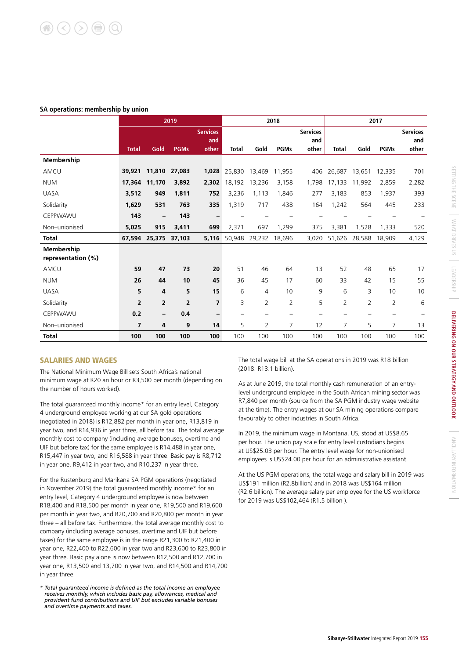#### **SA operations: membership by union**

|                                  | 2019           |                      |                |                                 |        | 2018                     |                          |                                 |                | 2017           |             |                                 |
|----------------------------------|----------------|----------------------|----------------|---------------------------------|--------|--------------------------|--------------------------|---------------------------------|----------------|----------------|-------------|---------------------------------|
|                                  | <b>Total</b>   | Gold                 | <b>PGMs</b>    | <b>Services</b><br>and<br>other | Total  | Gold                     | <b>PGMs</b>              | <b>Services</b><br>and<br>other | <b>Total</b>   | Gold           | <b>PGMs</b> | <b>Services</b><br>and<br>other |
| Membership                       |                |                      |                |                                 |        |                          |                          |                                 |                |                |             |                                 |
| AMCU                             | 39,921         | 11,810               | 27,083         | 1,028                           | 25,830 | 13,469                   | 11,955                   | 406                             | 26,687         | 13,651         | 12,335      | 701                             |
| <b>NUM</b>                       | 17,364         | 11,170               | 3,892          | 2,302                           | 18,192 | 13,236                   | 3,158                    | 1,798                           | 17.133         | 11,992         | 2,859       | 2,282                           |
| <b>UASA</b>                      | 3,512          | 949                  | 1,811          | 752                             | 3,236  | 1,113                    | 1,846                    | 277                             | 3,183          | 853            | 1,937       | 393                             |
| Solidarity                       | 1,629          | 531                  | 763            | 335                             | 1,319  | 717                      | 438                      | 164                             | 1,242          | 564            | 445         | 233                             |
| CEPPWAWU                         | 143            |                      | 143            |                                 |        |                          |                          |                                 |                |                |             |                                 |
| Non-unionised                    | 5,025          | 915                  | 3,411          | 699                             | 2,371  | 697                      | 1,299                    | 375                             | 3,381          | 1,528          | 1,333       | 520                             |
| <b>Total</b>                     |                | 67,594 25,375 37,103 |                | 5,116                           | 50,948 | 29,232                   | 18,696                   | 3,020                           | 51,626         | 28,588         | 18,909      | 4,129                           |
| Membership<br>representation (%) |                |                      |                |                                 |        |                          |                          |                                 |                |                |             |                                 |
| AMCU                             | 59             | 47                   | 73             | 20                              | 51     | 46                       | 64                       | 13                              | 52             | 48             | 65          | 17                              |
| <b>NUM</b>                       | 26             | 44                   | 10             | 45                              | 36     | 45                       | 17                       | 60                              | 33             | 42             | 15          | 55                              |
| <b>UASA</b>                      | 5              | 4                    | 5              | 15                              | 6      | $\overline{4}$           | 10                       | 9                               | 6              | 3              | 10          | 10                              |
| Solidarity                       | $\overline{2}$ | $\overline{2}$       | $\overline{2}$ | $\overline{ }$                  | 3      | $\overline{2}$           | $\overline{2}$           | 5                               | $\overline{2}$ | $\overline{2}$ | 2           | 6                               |
| CEPPWAWU                         | 0.2            | $\qquad \qquad -$    | 0.4            | -                               |        | $\overline{\phantom{0}}$ | $\overline{\phantom{0}}$ |                                 |                |                |             |                                 |
| Non-unionised                    | $\overline{7}$ | 4                    | 9              | 14                              | 5      | $\overline{2}$           | $\overline{7}$           | 12                              | 7              | 5              | 7           | 13                              |
| <b>Total</b>                     | 100            | 100                  | 100            | 100                             | 100    | 100                      | 100                      | 100                             | 100            | 100            | 100         | 100                             |

#### SALARIES AND WAGES

The National Minimum Wage Bill sets South Africa's national minimum wage at R20 an hour or R3,500 per month (depending on the number of hours worked).

The total guaranteed monthly income\* for an entry level, Category 4 underground employee working at our SA gold operations (negotiated in 2018) is R12,882 per month in year one, R13,819 in year two, and R14,936 in year three, all before tax. The total average monthly cost to company (including average bonuses, overtime and UIF but before tax) for the same employee is R14,488 in year one, R15,447 in year two, and R16,588 in year three. Basic pay is R8,712 in year one, R9,412 in year two, and R10,237 in year three.

For the Rustenburg and Marikana SA PGM operations (negotiated in November 2019) the total guaranteed monthly income\* for an entry level, Category 4 underground employee is now between R18,400 and R18,500 per month in year one, R19,500 and R19,600 per month in year two, and R20,700 and R20,800 per month in year three – all before tax. Furthermore, the total average monthly cost to company (including average bonuses, overtime and UIF but before taxes) for the same employee is in the range R21,300 to R21,400 in year one, R22,400 to R22,600 in year two and R23,600 to R23,800 in year three. Basic pay alone is now between R12,500 and R12,700 in year one, R13,500 and 13,700 in year two, and R14,500 and R14,700 in year three.

*\* Total guaranteed income is defined as the total income an employee receives monthly, which includes basic pay, allowances, medical and provident fund contributions and UIF but excludes variable bonuses and overtime payments and taxes.*

The total wage bill at the SA operations in 2019 was R18 billion (2018: R13.1 billion).

As at June 2019, the total monthly cash remuneration of an entrylevel underground employee in the South African mining sector was R7,840 per month (source from the SA PGM industry wage website at the time). The entry wages at our SA mining operations compare favourably to other industries in South Africa.

In 2019, the minimum wage in Montana, US, stood at US\$8.65 per hour. The union pay scale for entry level custodians begins at US\$25.03 per hour. The entry level wage for non-unionised employees is US\$24.00 per hour for an administrative assistant.

At the US PGM operations, the total wage and salary bill in 2019 was US\$191 million (R2.8billion) and in 2018 was US\$164 million (R2.6 billion). The average salary per employee for the US workforce for 2019 was US\$102,464 (R1.5 billion ).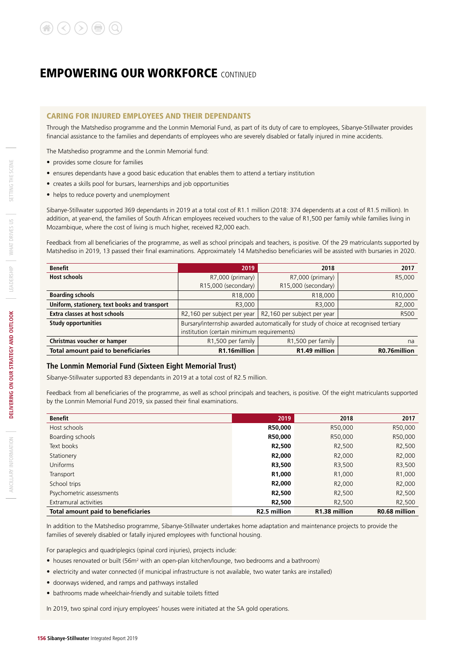#### CARING FOR INJURED EMPLOYEES AND THEIR DEPENDANTS

Through the Matshediso programme and the Lonmin Memorial Fund, as part of its duty of care to employees, Sibanye-Stillwater provides financial assistance to the families and dependants of employees who are severely disabled or fatally injured in mine accidents.

The Matshediso programme and the Lonmin Memorial fund:

- provides some closure for families
- ensures dependants have a good basic education that enables them to attend a tertiary institution
- creates a skills pool for bursars, learnerships and job opportunities
- helps to reduce poverty and unemployment

Sibanye-Stillwater supported 369 dependants in 2019 at a total cost of R1.1 million (2018: 374 dependents at a cost of R1.5 million). In addition, at year-end, the families of South African employees received vouchers to the value of R1,500 per family while families living in Mozambique, where the cost of living is much higher, received R2,000 each.

Feedback from all beneficiaries of the programme, as well as school principals and teachers, is positive. Of the 29 matriculants supported by Matshediso in 2019, 13 passed their final examinations. Approximately 14 Matshediso beneficiaries will be assisted with bursaries in 2020.

| <b>Benefit</b>                                | 2019                                       | 2018                                                                                | 2017                 |
|-----------------------------------------------|--------------------------------------------|-------------------------------------------------------------------------------------|----------------------|
| <b>Host schools</b>                           | R7,000 (primary)                           | R7,000 (primary)                                                                    | R5,000               |
|                                               | R15,000 (secondary)                        | R15,000 (secondary)                                                                 |                      |
| <b>Boarding schools</b>                       | R18,000                                    | R <sub>18</sub> ,000                                                                | R <sub>10</sub> ,000 |
| Uniform, stationery, text books and transport | R3,000                                     | R3,000                                                                              | R <sub>2</sub> ,000  |
| Extra classes at host schools                 |                                            | R2,160 per subject per year   R2,160 per subject per year                           | R500                 |
| <b>Study opportunities</b>                    |                                            | Bursary/internship awarded automatically for study of choice at recognised tertiary |                      |
|                                               | institution (certain minimum requirements) |                                                                                     |                      |
| Christmas voucher or hamper                   | R1,500 per family                          | R <sub>1</sub> ,500 per family                                                      | na                   |
| <b>Total amount paid to beneficiaries</b>     | R1.16million                               | R1.49 million                                                                       | R0.76million         |

#### **The Lonmin Memorial Fund (Sixteen Eight Memorial Trust)**

Sibanye-Stillwater supported 83 dependants in 2019 at a total cost of R2.5 million.

Feedback from all beneficiaries of the programme, as well as school principals and teachers, is positive. Of the eight matriculants supported by the Lonmin Memorial Fund 2019, six passed their final examinations.

| <b>Benefit</b>                     | 2019                      | 2018                      | 2017                |
|------------------------------------|---------------------------|---------------------------|---------------------|
| Host schools                       | R50,000                   | R50,000                   | R50,000             |
| Boarding schools                   | R50,000                   | R50,000                   | R50,000             |
| Text books                         | R <sub>2</sub> ,500       | R <sub>2</sub> ,500       | R <sub>2</sub> ,500 |
| Stationery                         | R <sub>2</sub> ,000       | R <sub>2</sub> ,000       | R <sub>2</sub> ,000 |
| <b>Uniforms</b>                    | R3,500                    | R3,500                    | R3,500              |
| Transport                          | R1,000                    | R <sub>1</sub> ,000       | R <sub>1</sub> ,000 |
| School trips                       | R <sub>2</sub> ,000       | R <sub>2</sub> ,000       | R <sub>2</sub> ,000 |
| Psychometric assessments           | R <sub>2</sub> ,500       | R <sub>2</sub> ,500       | R <sub>2</sub> ,500 |
| Extramural activities              | R <sub>2</sub> ,500       | R <sub>2</sub> ,500       | R <sub>2</sub> ,500 |
| Total amount paid to beneficiaries | R <sub>2</sub> .5 million | R <sub>1.38</sub> million | R0.68 million       |

In addition to the Matshediso programme, Sibanye-Stillwater undertakes home adaptation and maintenance projects to provide the families of severely disabled or fatally injured employees with functional housing.

For paraplegics and quadriplegics (spinal cord injuries), projects include:

- houses renovated or built (56m<sup>2</sup> with an open-plan kitchen/lounge, two bedrooms and a bathroom)
- electricity and water connected (if municipal infrastructure is not available, two water tanks are installed)
- doorways widened, and ramps and pathways installed
- bathrooms made wheelchair-friendly and suitable toilets fitted

In 2019, two spinal cord injury employees' houses were initiated at the SA gold operations.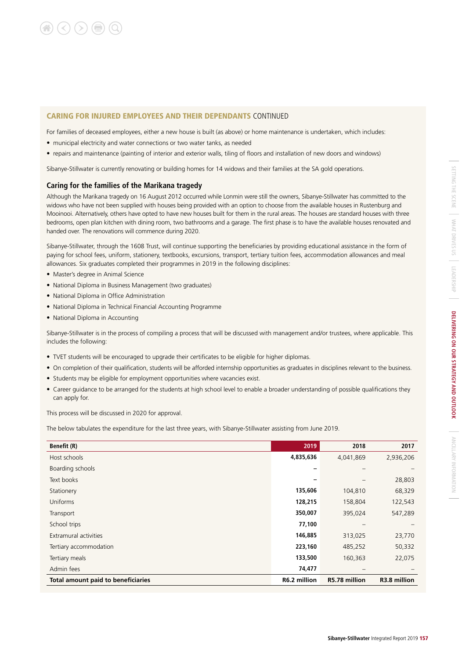#### CARING FOR INJURED EMPLOYEES AND THEIR DEPENDANTS CONTINUED

For families of deceased employees, either a new house is built (as above) or home maintenance is undertaken, which includes:

- municipal electricity and water connections or two water tanks, as needed
- repairs and maintenance (painting of interior and exterior walls, tiling of floors and installation of new doors and windows)

Sibanye-Stillwater is currently renovating or building homes for 14 widows and their families at the SA gold operations.

#### **Caring for the families of the Marikana tragedy**

Although the Marikana tragedy on 16 August 2012 occurred while Lonmin were still the owners, Sibanye-Stillwater has committed to the widows who have not been supplied with houses being provided with an option to choose from the available houses in Rustenburg and Mooinooi. Alternatively, others have opted to have new houses built for them in the rural areas. The houses are standard houses with three bedrooms, open plan kitchen with dining room, two bathrooms and a garage. The first phase is to have the available houses renovated and handed over. The renovations will commence during 2020.

Sibanye-Stillwater, through the 1608 Trust, will continue supporting the beneficiaries by providing educational assistance in the form of paying for school fees, uniform, stationery, textbooks, excursions, transport, tertiary tuition fees, accommodation allowances and meal allowances. Six graduates completed their programmes in 2019 in the following disciplines:

- Master's degree in Animal Science
- National Diploma in Business Management (two graduates)
- National Diploma in Office Administration
- National Diploma in Technical Financial Accounting Programme
- National Diploma in Accounting

Sibanye-Stillwater is in the process of compiling a process that will be discussed with management and/or trustees, where applicable. This includes the following:

- TVET students will be encouraged to upgrade their certificates to be eligible for higher diplomas.
- On completion of their qualification, students will be afforded internship opportunities as graduates in disciplines relevant to the business.
- Students may be eligible for employment opportunities where vacancies exist.
- Career guidance to be arranged for the students at high school level to enable a broader understanding of possible qualifications they can apply for.

This process will be discussed in 2020 for approval.

The below tabulates the expenditure for the last three years, with Sibanye-Stillwater assisting from June 2019.

| <b>Benefit (R)</b>                        | 2019         | 2018          | 2017         |
|-------------------------------------------|--------------|---------------|--------------|
| Host schools                              | 4,835,636    | 4,041,869     | 2,936,206    |
| Boarding schools                          |              |               |              |
| Text books                                |              |               | 28,803       |
| Stationery                                | 135,606      | 104,810       | 68,329       |
| Uniforms                                  | 128,215      | 158,804       | 122,543      |
| Transport                                 | 350,007      | 395,024       | 547,289      |
| School trips                              | 77,100       |               |              |
| Extramural activities                     | 146,885      | 313,025       | 23,770       |
| Tertiary accommodation                    | 223,160      | 485,252       | 50,332       |
| Tertiary meals                            | 133,500      | 160,363       | 22,075       |
| Admin fees                                | 74,477       |               |              |
| <b>Total amount paid to beneficiaries</b> | R6.2 million | R5.78 million | R3.8 million |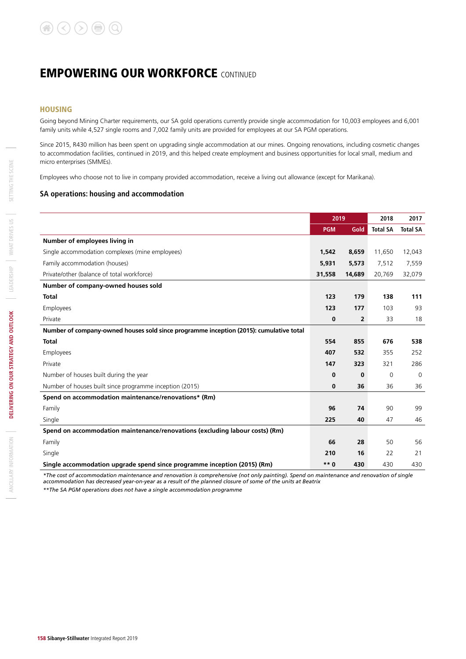#### **HOUSING**

Going beyond Mining Charter requirements, our SA gold operations currently provide single accommodation for 10,003 employees and 6,001 family units while 4,527 single rooms and 7,002 family units are provided for employees at our SA PGM operations.

Since 2015, R430 million has been spent on upgrading single accommodation at our mines. Ongoing renovations, including cosmetic changes to accommodation facilities, continued in 2019, and this helped create employment and business opportunities for local small, medium and micro enterprises (SMMEs).

Employees who choose not to live in company provided accommodation, receive a living out allowance (except for Marikana).

#### **SA operations: housing and accommodation**

|                                                                                        | 2019       |                | 2018            | 2017            |
|----------------------------------------------------------------------------------------|------------|----------------|-----------------|-----------------|
|                                                                                        | <b>PGM</b> | Gold           | <b>Total SA</b> | <b>Total SA</b> |
| Number of employees living in                                                          |            |                |                 |                 |
| Single accommodation complexes (mine employees)                                        | 1,542      | 8,659          | 11,650          | 12,043          |
| Family accommodation (houses)                                                          | 5,931      | 5,573          | 7,512           | 7,559           |
| Private/other (balance of total workforce)                                             | 31,558     | 14,689         | 20,769          | 32,079          |
| Number of company-owned houses sold                                                    |            |                |                 |                 |
| <b>Total</b>                                                                           | 123        | 179            | 138             | 111             |
| Employees                                                                              | 123        | 177            | 103             | 93              |
| Private                                                                                | $\bf{0}$   | $\overline{2}$ | 33              | 18              |
| Number of company-owned houses sold since programme inception (2015): cumulative total |            |                |                 |                 |
| <b>Total</b>                                                                           | 554        | 855            | 676             | 538             |
| Employees                                                                              | 407        | 532            | 355             | 252             |
| Private                                                                                | 147        | 323            | 321             | 286             |
| Number of houses built during the year                                                 | $\bf{0}$   | $\bf{0}$       | $\Omega$        | $\Omega$        |
| Number of houses built since programme inception (2015)                                | $\bf{0}$   | 36             | 36              | 36              |
| Spend on accommodation maintenance/renovations* (Rm)                                   |            |                |                 |                 |
| Family                                                                                 | 96         | 74             | 90              | 99              |
| Single                                                                                 | 225        | 40             | 47              | 46              |
| Spend on accommodation maintenance/renovations (excluding labour costs) (Rm)           |            |                |                 |                 |
| Family                                                                                 | 66         | 28             | 50              | 56              |
| Single                                                                                 | 210        | 16             | 22              | 21              |
| Single accommodation upgrade spend since programme inception (2015) (Rm)               | $***0$     | 430            | 430             | 430             |

*\*The cost of accommodation maintenance and renovation is comprehensive (not only painting). Spend on maintenance and renovation of single accommodation has decreased year-on-year as a result of the planned closure of some of the units at Beatrix*

*\*\*The SA PGM operations does not have a single accommodation programme*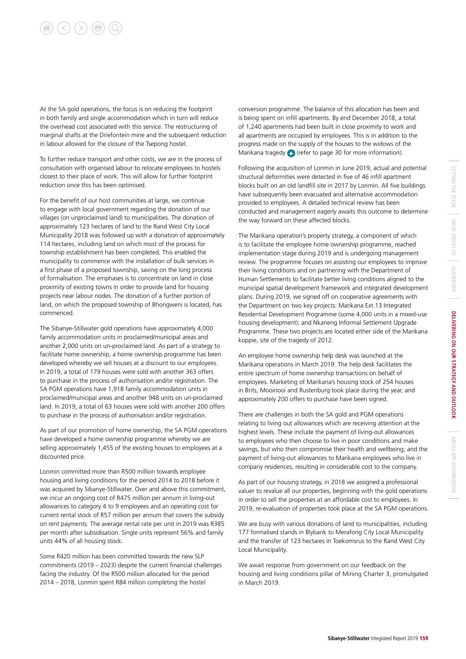## $\left(\langle\right)\left(\rangle\right)\left(\mathbf{r}\right)\left(\mathbf{r}\right)$

At the SA gold operations, the focus is on reducing the footprint in both family and single accommodation which in turn will reduce the overhead cost associated with this service. The restructuring of marginal shafts at the Driefontein mine and the subsequent reduction in labour allowed for the closure of the Tsepong hostel.

To further reduce transport and other costs, we are in the process of consultation with organised labour to relocate employees to hostels closest to their place of work. This will allow for further footprint reduction once this has been optimised.

For the benefit of our host communities at large, we continue to engage with local government regarding the donation of our villages (on unproclaimed land) to municipalities. The donation of approximately 123 hectares of land to the Rand West City Local Municipality 2018 was followed up with a donation of approximately 114 hectares, including land on which most of the process for township establishment has been completed. This enabled the municipality to commence with the installation of bulk services in a first phase of a proposed township, saving on the long process of formalisation. The emphases is to concentrate on land in close proximity of existing towns in order to provide land for housing projects near labour nodes. The donation of a further portion of land, on which the proposed township of Bhongweni is located, has commenced.

The Sibanye-Stillwater gold operations have approximately 4,000 family accommodation units in proclaimed/municipal areas and another 2,000 units on un-proclaimed land. As part of a strategy to facilitate home ownership, a home ownership programme has been developed whereby we sell houses at a discount to our employees. In 2019, a total of 179 houses were sold with another 363 offers to purchase in the process of authorisation and/or registration. The SA PGM operations have 1,918 family accommodation units in proclaimed/municipal areas and another 948 units on un-proclaimed land. In 2019, a total of 63 houses were sold with another 200 offers to purchase in the process of authorisation and/or registration.

As part of our promotion of home ownership, the SA PGM operations have developed a home ownership programme whereby we are selling approximately 1,455 of the existing houses to employees at a discounted price.

Lonmin committed more than R500 million towards employee housing and living conditions for the period 2014 to 2018 before it was acquired by Sibanye-Stillwater. Over and above this commitment, we incur an ongoing cost of R475 million per annum in living-out allowances to category 4 to 9 employees and an operating cost for current rental stock of R57 million per annum that covers the subsidy on rent payments. The average rental rate per unit in 2019 was R385 per month after subsidisation. Single units represent 56% and family units 44% of all housing stock.

Some R420 million has been committed towards the new SLP commitments (2019 – 2023) despite the current financial challenges facing the industry. Of the R500 million allocated for the period 2014 – 2018, Lonmin spent R84 million completing the hostel

conversion programme. The balance of this allocation has been and is being spent on infill apartments. By end December 2018, a total of 1,240 apartments had been built in close proximity to work and all apartments are occupied by employees. This is in addition to the progress made on the supply of the houses to the widows of the Marikana tragedy (refer to page 30 for more information).

Following the acquisition of Lonmin in June 2019, actual and potential structural deformities were detected in five of 46 infill apartment blocks built on an old landfill site in 2017 by Lonmin. All five buildings have subsequently been evacuated and alternative accommodation provided to employees. A detailed technical review has been conducted and management eagerly awaits this outcome to determine the way forward on these affected blocks.

The Marikana operation's property strategy, a component of which is to facilitate the employee home ownership programme, reached implementation stage during 2019 and is undergoing management review. The programme focuses on assisting our employees to improve their living conditions and on partnering with the Department of Human Settlements to facilitate better living conditions aligned to the municipal spatial development framework and integrated development plans. During 2019, we signed off on cooperative agreements with the Department on two key projects: Marikana Ext.13 Integrated Residential Development Programme (some 4,000 units in a mixed-use housing development); and Nkaneng Informal Settlement Upgrade Programme. These two projects are located either side of the Marikana koppie, site of the tragedy of 2012.

An employee home ownership help desk was launched at the Marikana operations in March 2019. The help desk facilitates the entire spectrum of home ownership transactions on behalf of employees. Marketing of Marikana's housing stock of 254 houses in Brits, Mooinooi and Rustenburg took place during the year, and approximately 200 offers to purchase have been signed.

There are challenges in both the SA gold and PGM operations relating to living out allowances which are receiving attention at the highest levels. These include the payment of living-out allowances to employees who then choose to live in poor conditions and make savings, but who then compromise their health and wellbeing; and the payment of living-out allowances to Marikana employees who live in company residences, resulting in considerable cost to the company.

As part of our housing strategy, in 2018 we assigned a professional valuer to revalue all our properties, beginning with the gold operations in order to sell the properties at an affordable cost to employees. In 2019, re-evaluation of properties took place at the SA PGM operations.

We are busy with various donations of land to municipalities, including 177 formalised stands in Blybank to Merafong City Local Municipality and the transfer of 123 hectares in Toekomsrus to the Rand West City Local Municipality.

We await response from government on our feedback on the housing and living conditions pillar of Mining Charter 3, promulgated in March 2019.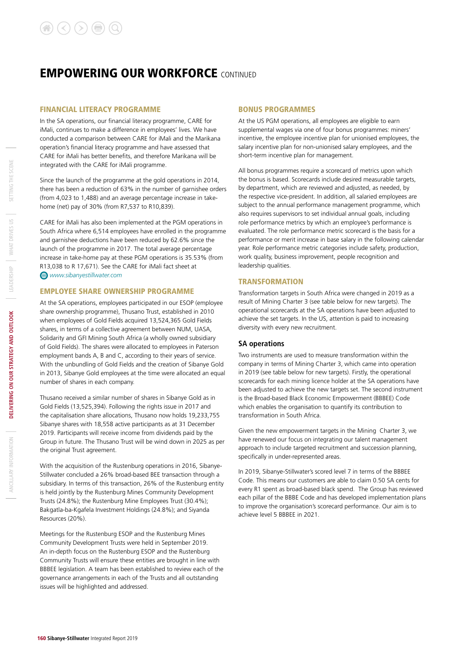#### FINANCIAL LITERACY PROGRAMME

In the SA operations, our financial literacy programme, CARE for iMali, continues to make a difference in employees' lives. We have conducted a comparison between CARE for iMali and the Marikana operation's financial literacy programme and have assessed that CARE for iMali has better benefits, and therefore Marikana will be integrated with the CARE for iMali programme.

Since the launch of the programme at the gold operations in 2014, there has been a reduction of 63% in the number of garnishee orders (from 4,023 to 1,488) and an average percentage increase in takehome (net) pay of 30% (from R7,537 to R10,839).

CARE for iMali has also been implemented at the PGM operations in South Africa where 6,514 employees have enrolled in the programme and garnishee deductions have been reduced by 62.6% since the launch of the programme in 2017. The total average percentage increase in take-home pay at these PGM operations is 35.53% (from R13,038 to R 17,671). See the CARE for iMali fact sheet at *www.sibanyestillwater.com* 

#### EMPLOYEE SHARE OWNERSHIP PROGRAMME

At the SA operations, employees participated in our ESOP (employee share ownership programme), Thusano Trust, established in 2010 when employees of Gold Fields acquired 13,524,365 Gold Fields shares, in terms of a collective agreement between NUM, UASA, Solidarity and GFI Mining South Africa (a wholly owned subsidiary of Gold Fields). The shares were allocated to employees in Paterson employment bands A, B and C, according to their years of service. With the unbundling of Gold Fields and the creation of Sibanye Gold in 2013, Sibanye Gold employees at the time were allocated an equal number of shares in each company.

Thusano received a similar number of shares in Sibanye Gold as in Gold Fields (13,525,394). Following the rights issue in 2017 and the capitalisation share allocations, Thusano now holds 19,233,755 Sibanye shares with 18,558 active participants as at 31 December 2019. Participants will receive income from dividends paid by the Group in future. The Thusano Trust will be wind down in 2025 as per the original Trust agreement.

With the acquisition of the Rustenburg operations in 2016, Sibanye-Stillwater concluded a 26% broad-based BEE transaction through a subsidiary. In terms of this transaction, 26% of the Rustenburg entity is held jointly by the Rustenburg Mines Community Development Trusts (24.8%); the Rustenburg Mine Employees Trust (30.4%); Bakgatla-ba-Kgafela Investment Holdings (24.8%); and Siyanda Resources (20%).

Meetings for the Rustenburg ESOP and the Rustenburg Mines Community Development Trusts were held in September 2019. An in-depth focus on the Rustenburg ESOP and the Rustenburg Community Trusts will ensure these entities are brought in line with BBBEE legislation. A team has been established to review each of the governance arrangements in each of the Trusts and all outstanding issues will be highlighted and addressed.

#### BONUS PROGRAMMES

At the US PGM operations, all employees are eligible to earn supplemental wages via one of four bonus programmes: miners' incentive, the employee incentive plan for unionised employees, the salary incentive plan for non-unionised salary employees, and the short-term incentive plan for management.

All bonus programmes require a scorecard of metrics upon which the bonus is based. Scorecards include desired measurable targets, by department, which are reviewed and adjusted, as needed, by the respective vice-president. In addition, all salaried employees are subject to the annual performance management programme, which also requires supervisors to set individual annual goals, including role performance metrics by which an employee's performance is evaluated. The role performance metric scorecard is the basis for a performance or merit increase in base salary in the following calendar year. Role performance metric categories include safety, production, work quality, business improvement, people recognition and leadership qualities.

#### TRANSFORMATION

Transformation targets in South Africa were changed in 2019 as a result of Mining Charter 3 (see table below for new targets). The operational scorecards at the SA operations have been adjusted to achieve the set targets. In the US, attention is paid to increasing diversity with every new recruitment.

#### **SA operations**

Two instruments are used to measure transformation within the company in terms of Mining Charter 3, which came into operation in 2019 (see table below for new targets). Firstly, the operational scorecards for each mining licence holder at the SA operations have been adjusted to achieve the new targets set. The second instrument is the Broad-based Black Economic Empowerment (BBBEE) Code which enables the organisation to quantify its contribution to transformation in South Africa.

Given the new empowerment targets in the Mining Charter 3, we have renewed our focus on integrating our talent management approach to include targeted recruitment and succession planning, specifically in under-represented areas.

In 2019, Sibanye-Stillwater's scored level 7 in terms of the BBBEE Code. This means our customers are able to claim 0.50 SA cents for every R1 spent as broad-based black spend. The Group has reviewed each pillar of the BBBE Code and has developed implementation plans to improve the organisation's scorecard performance. Our aim is to achieve level 5 BBBEE in 2021.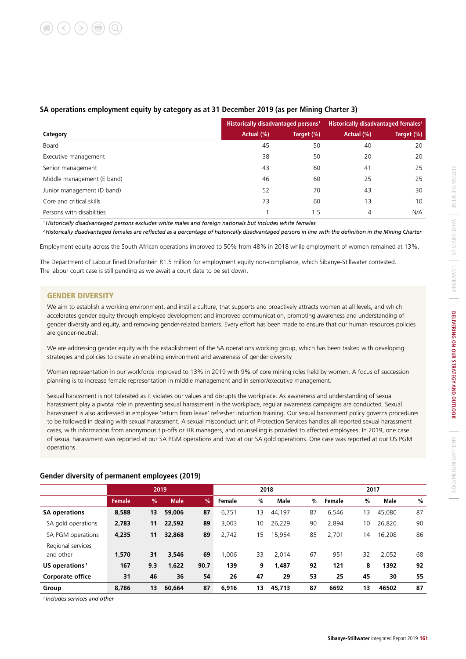|                            | Historically disadvantaged persons <sup>1</sup> |            | Historically disadvantaged females <sup>2</sup> |            |  |
|----------------------------|-------------------------------------------------|------------|-------------------------------------------------|------------|--|
| Category                   | Actual (%)                                      | Target (%) | Actual (%)                                      | Target (%) |  |
| Board                      | 45                                              | 50         | 40                                              | 20         |  |
| Executive management       | 38                                              | 50         | 20                                              | 20         |  |
| Senior management          | 43                                              | 60         | 41                                              | 25         |  |
| Middle management (E band) | 46                                              | 60         | 25                                              | 25         |  |
| Junior management (D band) | 52                                              | 70         | 43                                              | 30         |  |
| Core and critical skills   | 73                                              | 60         | 13                                              | 10         |  |
| Persons with disabilities  |                                                 | 1.5        | 4                                               | N/A        |  |

#### **SA operations employment equity by category as at 31 December 2019 (as per Mining Charter 3)**

*1 Historically disadvantaged persons excludes white males and foreign nationals but includes white females*

*2 Historically disadvantaged females are reflected as a percentage of historically disadvantaged persons in line with the definition in the Mining Charter*

Employment equity across the South African operations improved to 50% from 48% in 2018 while employment of women remained at 13%.

The Department of Labour fined Driefontein R1.5 million for employment equity non-compliance, which Sibanye-Stillwater contested. The labour court case is still pending as we await a court date to be set down.

#### GENDER DIVERSITY

We aim to establish a working environment, and instil a culture, that supports and proactively attracts women at all levels, and which accelerates gender equity through employee development and improved communication, promoting awareness and understanding of gender diversity and equity, and removing gender-related barriers. Every effort has been made to ensure that our human resources policies are gender-neutral.

We are addressing gender equity with the establishment of the SA operations working group, which has been tasked with developing strategies and policies to create an enabling environment and awareness of gender diversity.

Women representation in our workforce improved to 13% in 2019 with 9% of core mining roles held by women. A focus of succession planning is to increase female representation in middle management and in senior/executive management.

Sexual harassment is not tolerated as it violates our values and disrupts the workplace. As awareness and understanding of sexual harassment play a pivotal role in preventing sexual harassment in the workplace, regular awareness campaigns are conducted. Sexual harassment is also addressed in employee 'return from leave' refresher induction training. Our sexual harassment policy governs procedures to be followed in dealing with sexual harassment. A sexual misconduct unit of Protection Services handles all reported sexual harassment cases, with information from anonymous tip-offs or HR managers, and counselling is provided to affected employees. In 2019, one case of sexual harassment was reported at our SA PGM operations and two at our SA gold operations. One case was reported at our US PGM operations.

|                                |               |     | 2019        |               | 2018   |      |        | 2017 |        |    |             |               |
|--------------------------------|---------------|-----|-------------|---------------|--------|------|--------|------|--------|----|-------------|---------------|
|                                | <b>Female</b> | %   | <b>Male</b> | $\frac{9}{6}$ | Female | $\%$ | Male   | %    | Female | %  | <b>Male</b> | $\frac{0}{0}$ |
| <b>SA operations</b>           | 8,588         | 13  | 59,006      | 87            | 6.751  | 13   | 44,197 | 87   | 6,546  | 13 | 45,080      | 87            |
| SA gold operations             | 2,783         | 11  | 22.592      | 89            | 3,003  | 10   | 26,229 | 90   | 2,894  | 10 | 26,820      | 90            |
| SA PGM operations              | 4,235         | 11  | 32.868      | 89            | 2,742  | 15   | 15,954 | 85   | 2.701  | 14 | 16,208      | 86            |
| Regional services<br>and other | 1.570         | 31  | 3.546       | 69            | 1.006  | 33   | 2.014  | 67   | 951    | 32 | 2,052       | 68            |
| US operations <sup>1</sup>     | 167           | 9.3 | 1,622       | 90.7          | 139    | 9    | 1,487  | 92   | 121    | 8  | 1392        | 92            |
| <b>Corporate office</b>        | 31            | 46  | 36          | 54            | 26     | 47   | 29     | 53   | 25     | 45 | 30          | 55            |
| Group                          | 8.786         | 13  | 60.664      | 87            | 6.916  | 13   | 45,713 | 87   | 6692   | 13 | 46502       | 87            |

#### **Gender diversity of permanent employees (2019)**

*1 Includes services and other*

SETTING THE SCENE

ANCILLARY INFORMATION

ANCILARY INFORMATION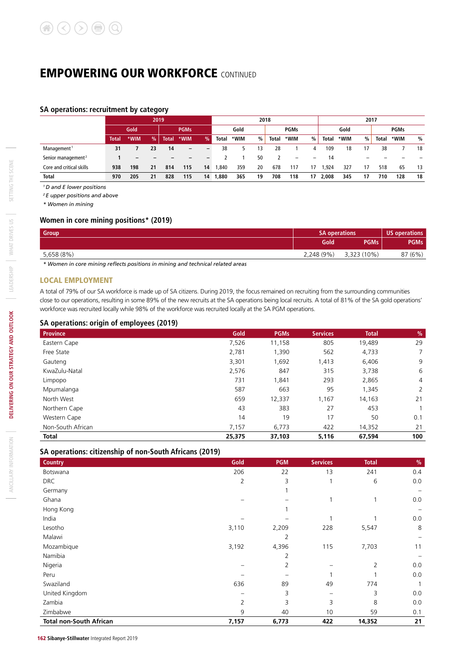#### **SA operations: recruitment by category**

|                                | 2019         |      |               |              |                   | 2018                     |       |      |    | 2017         |                          |    |       |      |               |              |      |    |  |             |  |  |
|--------------------------------|--------------|------|---------------|--------------|-------------------|--------------------------|-------|------|----|--------------|--------------------------|----|-------|------|---------------|--------------|------|----|--|-------------|--|--|
|                                | Gold         |      |               |              |                   |                          |       |      |    | <b>PGMs</b>  |                          |    | Gold  |      | <b>PGMs</b>   |              | Gold |    |  | <b>PGMs</b> |  |  |
|                                | <b>Total</b> | *WIM | $\frac{9}{6}$ | <b>Total</b> | *WIM              | $\frac{9}{6}$            | Total | *WIM | %  | <b>Total</b> | *WIM                     | %  | Total | *WIM | $\frac{0}{0}$ | <b>Total</b> | *WIM | %  |  |             |  |  |
| Management <sup>1</sup>        | 31           |      | 23            | 14           | $\qquad \qquad -$ | $\overline{\phantom{0}}$ | 38    |      | 13 | 28           |                          | 4  | 109   | 18   | 17            | 38           |      | 18 |  |             |  |  |
| Senior management <sup>2</sup> |              |      |               |              |                   |                          |       |      | 50 |              | $\overline{\phantom{0}}$ | -  | 14    |      |               |              |      |    |  |             |  |  |
| Core and critical skills       | 938          | 198  | 21            | 814          | 115               | 14                       | .840  | 359  | 20 | 678          | 117                      | 17 | .924  | 327  | 17            | 518          | 65   | 13 |  |             |  |  |
| Total                          | 970          | 205  | 21            | 828          | 115               | 14                       | 1,880 | 365  | 19 | 708          | 118                      | 17 | 2,008 | 345  | 17            | 710          | 128  | 18 |  |             |  |  |

*1 D and E lower positions*

*2 E upper positions and above*

*\* Women in mining*

#### **Women in core mining positions\* (2019)**

| <b>Group</b> | <b>SA operations</b> | US operations |             |  |
|--------------|----------------------|---------------|-------------|--|
|              | Gold                 | <b>PGMs</b>   | <b>PGMs</b> |  |
| 5,658 (8%)   | 2,248 (9%)           | 3,323 (10%)   | 87 (6%)     |  |

*\* Women in core mining reflects positions in mining and technical related areas* 

#### LOCAL EMPLOYMENT

A total of 79% of our SA workforce is made up of SA citizens. During 2019, the focus remained on recruiting from the surrounding communities close to our operations, resulting in some 89% of the new recruits at the SA operations being local recruits. A total of 81% of the SA gold operations' workforce was recruited locally while 98% of the workforce was recruited locally at the SA PGM operations.

#### **SA operations: origin of employees (2019)**

| <b>Province</b>   | Gold   | <b>PGMs</b> | <b>Services</b> | <b>Total</b> | $\%$           |
|-------------------|--------|-------------|-----------------|--------------|----------------|
| Eastern Cape      | 7,526  | 11,158      | 805             | 19,489       | 29             |
| Free State        | 2,781  | 1,390       | 562             | 4,733        | $\overline{7}$ |
| Gauteng           | 3,301  | 1,692       | 1,413           | 6,406        | 9              |
| KwaZulu-Natal     | 2,576  | 847         | 315             | 3,738        | 6              |
| Limpopo           | 731    | 1,841       | 293             | 2,865        | $\overline{4}$ |
| Mpumalanga        | 587    | 663         | 95              | 1,345        | 2              |
| North West        | 659    | 12,337      | 1,167           | 14,163       | 21             |
| Northern Cape     | 43     | 383         | 27              | 453          |                |
| Western Cape      | 14     | 19          | 17              | 50           | 0.1            |
| Non-South African | 7,157  | 6,773       | 422             | 14,352       | 21             |
| <b>Total</b>      | 25,375 | 37,103      | 5,116           | 67,594       | 100            |

#### **SA operations: citizenship of non-South Africans (2019)**

| <b>Country</b>                 | Gold           | <b>PGM</b> | <b>Services</b> | <b>Total</b> | $\frac{0}{0}$ |
|--------------------------------|----------------|------------|-----------------|--------------|---------------|
| Botswana                       | 206            | 22         | 13              | 241          | 0.4           |
| <b>DRC</b>                     | $\overline{2}$ | 3          | 1               | 6            | 0.0           |
| Germany                        |                |            |                 |              |               |
| Ghana                          |                |            |                 | 1            | 0.0           |
| Hong Kong                      |                |            |                 |              |               |
| India                          |                |            |                 |              | 0.0           |
| Lesotho                        | 3,110          | 2,209      | 228             | 5,547        | 8             |
| Malawi                         |                | 2          |                 |              |               |
| Mozambique                     | 3,192          | 4,396      | 115             | 7,703        | 11            |
| Namibia                        |                | 2          |                 |              |               |
| Nigeria                        |                | 2          |                 | 2            | 0.0           |
| Peru                           |                |            |                 |              | 0.0           |
| Swaziland                      | 636            | 89         | 49              | 774          |               |
| United Kingdom                 |                | 3          |                 | 3            | 0.0           |
| Zambia                         | 2              | 3          | 3               | 8            | 0.0           |
| Zimbabwe                       | 9              | 40         | 10              | 59           | 0.1           |
| <b>Total non-South African</b> | 7,157          | 6,773      | 422             | 14,352       | 21            |